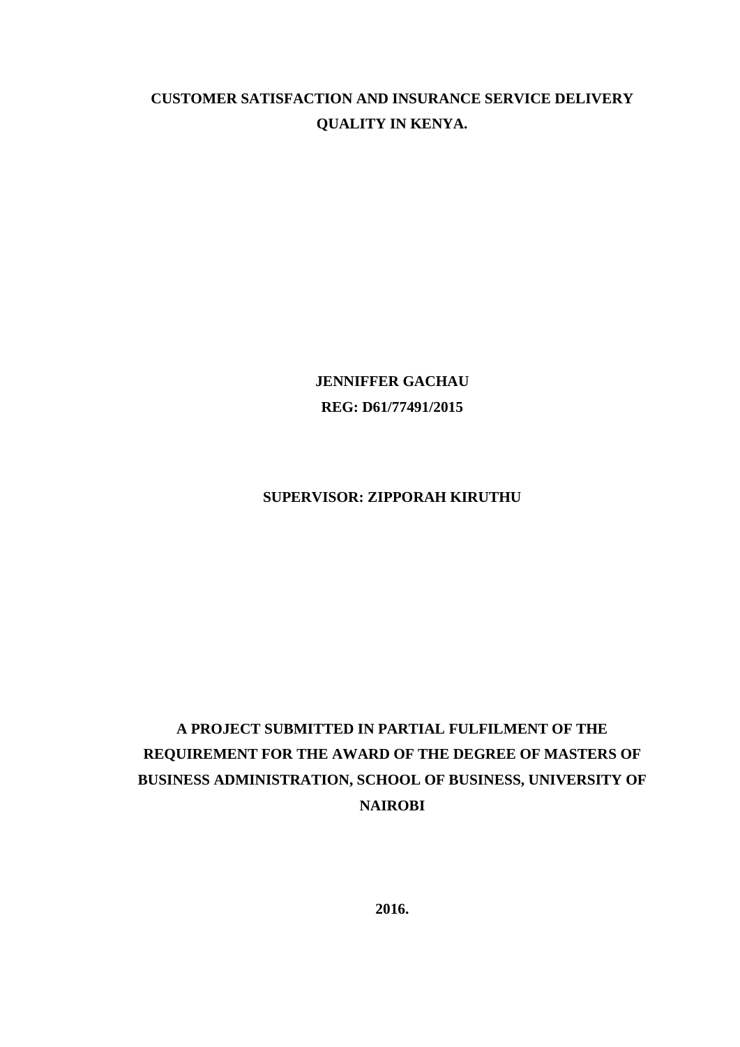# **CUSTOMER SATISFACTION AND INSURANCE SERVICE DELIVERY QUALITY IN KENYA.**

**JENNIFFER GACHAU REG: D61/77491/2015**

## **SUPERVISOR: ZIPPORAH KIRUTHU**

# **A PROJECT SUBMITTED IN PARTIAL FULFILMENT OF THE REQUIREMENT FOR THE AWARD OF THE DEGREE OF MASTERS OF BUSINESS ADMINISTRATION, SCHOOL OF BUSINESS, UNIVERSITY OF NAIROBI**

**2016.**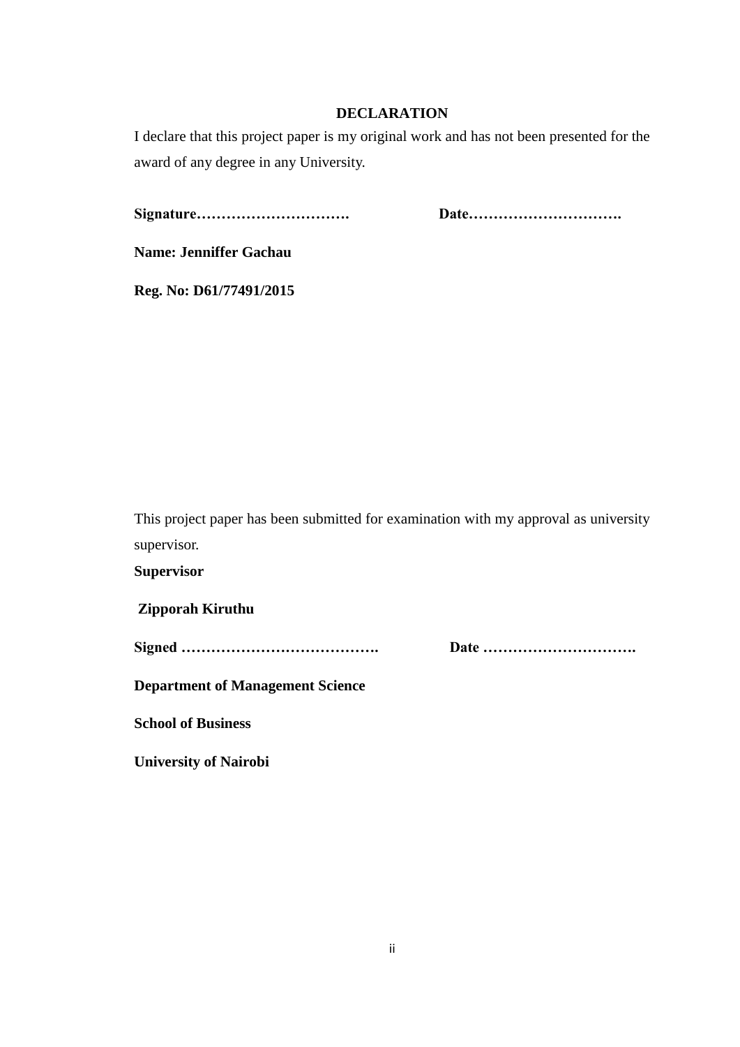## **DECLARATION**

<span id="page-1-0"></span>I declare that this project paper is my original work and has not been presented for the award of any degree in any University.

**Signature…………………………. Date………………………….** 

**Name: Jenniffer Gachau**

**Reg. No: D61/77491/2015** 

This project paper has been submitted for examination with my approval as university supervisor.

**Supervisor**

**Zipporah Kiruthu**

**Signed …………………………………. Date ………………………….** 

**Department of Management Science**

**School of Business**

**University of Nairobi**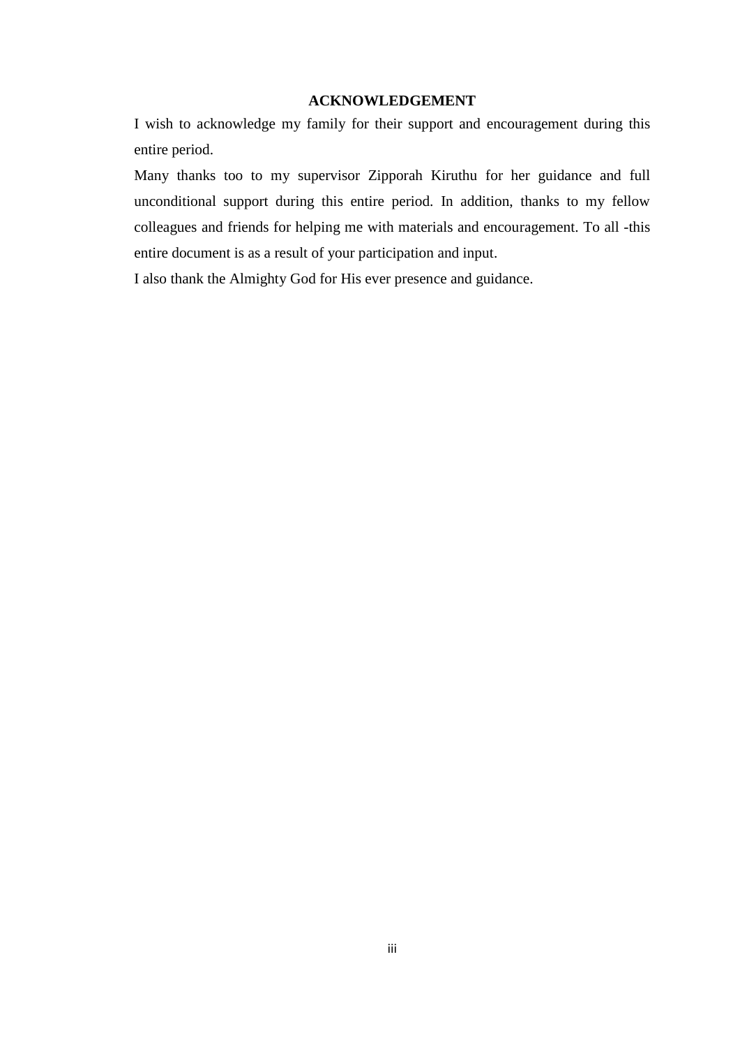### **ACKNOWLEDGEMENT**

<span id="page-2-0"></span>I wish to acknowledge my family for their support and encouragement during this entire period.

Many thanks too to my supervisor Zipporah Kiruthu for her guidance and full unconditional support during this entire period. In addition, thanks to my fellow colleagues and friends for helping me with materials and encouragement. To all -this entire document is as a result of your participation and input.

I also thank the Almighty God for His ever presence and guidance.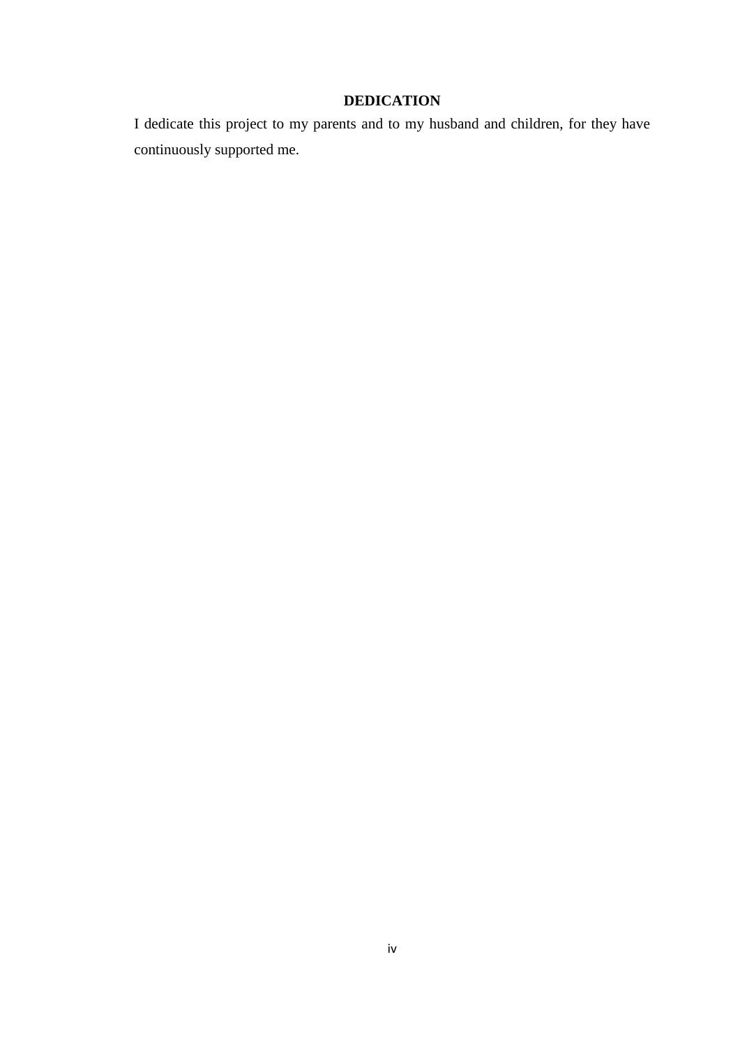## **DEDICATION**

<span id="page-3-0"></span>I dedicate this project to my parents and to my husband and children, for they have continuously supported me.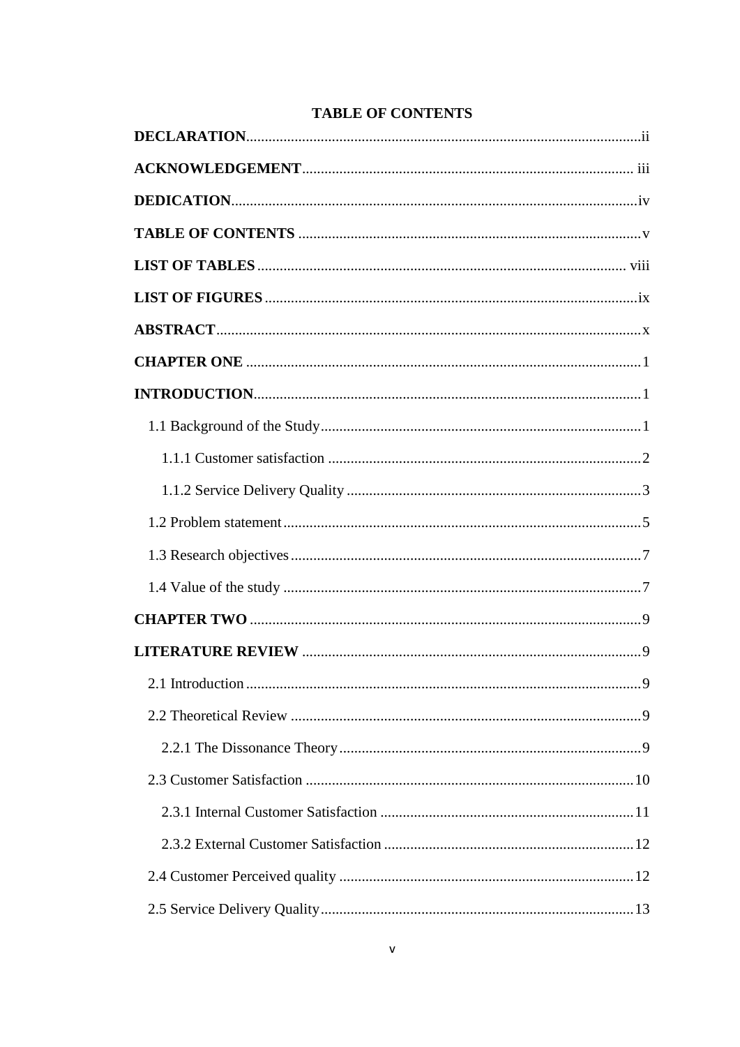<span id="page-4-0"></span>

## **TABLE OF CONTENTS**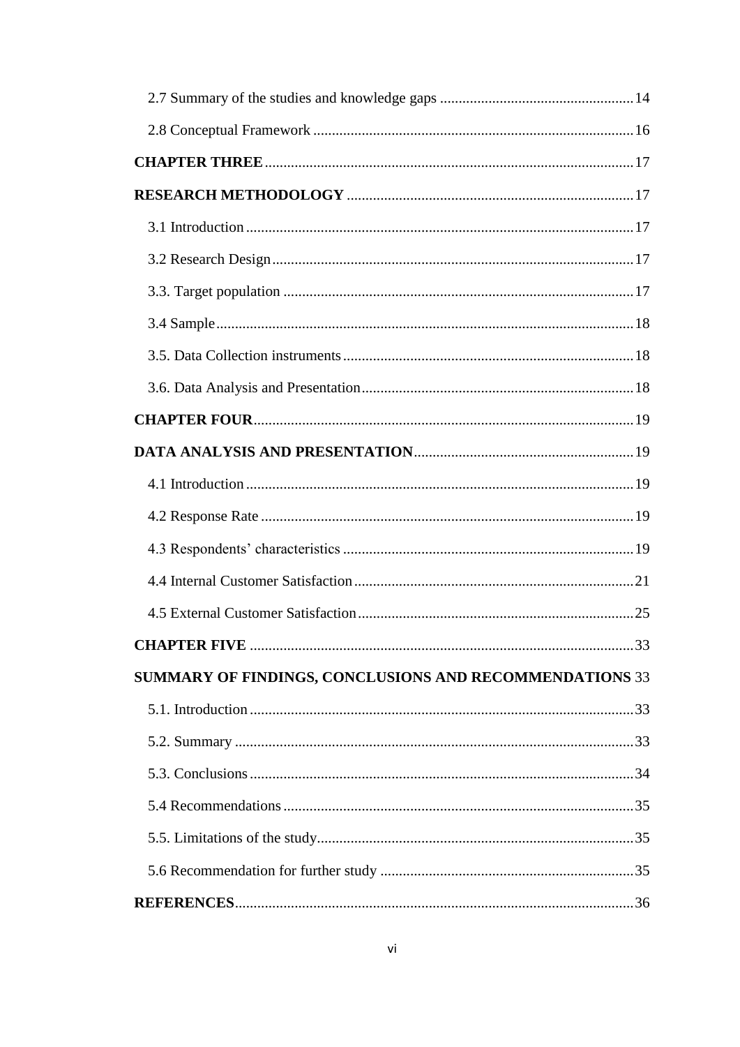| SUMMARY OF FINDINGS, CONCLUSIONS AND RECOMMENDATIONS 33 |  |
|---------------------------------------------------------|--|
|                                                         |  |
|                                                         |  |
|                                                         |  |
|                                                         |  |
|                                                         |  |
|                                                         |  |
|                                                         |  |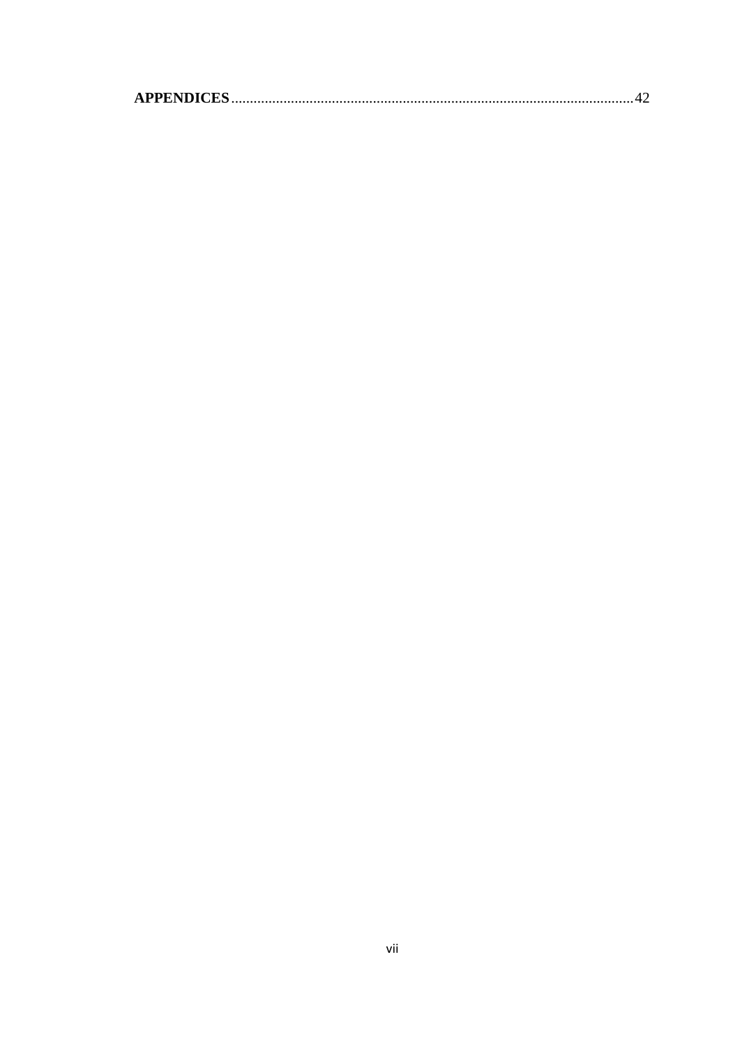<span id="page-6-0"></span>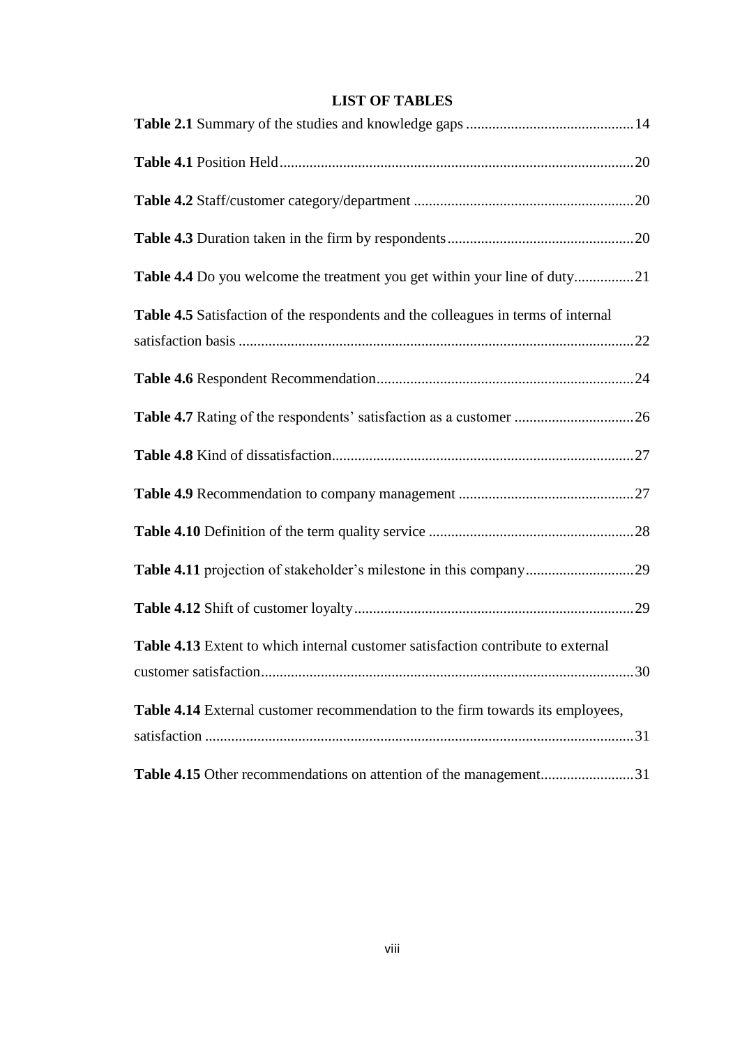## **LIST OF TABLES**

| Table 4.5 Satisfaction of the respondents and the colleagues in terms of internal |    |
|-----------------------------------------------------------------------------------|----|
|                                                                                   |    |
|                                                                                   |    |
|                                                                                   |    |
|                                                                                   |    |
|                                                                                   |    |
|                                                                                   |    |
|                                                                                   |    |
| Table 4.13 Extent to which internal customer satisfaction contribute to external  | 30 |
| Table 4.14 External customer recommendation to the firm towards its employees,    |    |
| Table 4.15 Other recommendations on attention of the management31                 |    |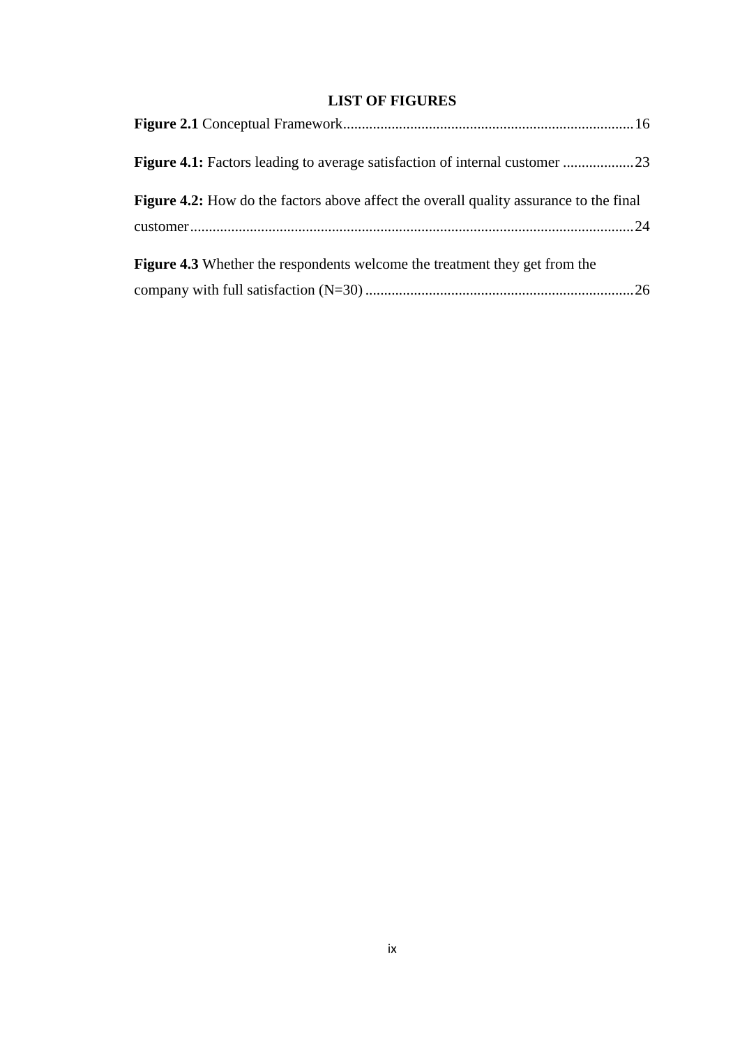## **LIST OF FIGURES**

<span id="page-8-0"></span>

| <b>Figure 4.2:</b> How do the factors above affect the overall quality assurance to the final |
|-----------------------------------------------------------------------------------------------|
|                                                                                               |
| <b>Figure 4.3</b> Whether the respondents welcome the treatment they get from the             |
|                                                                                               |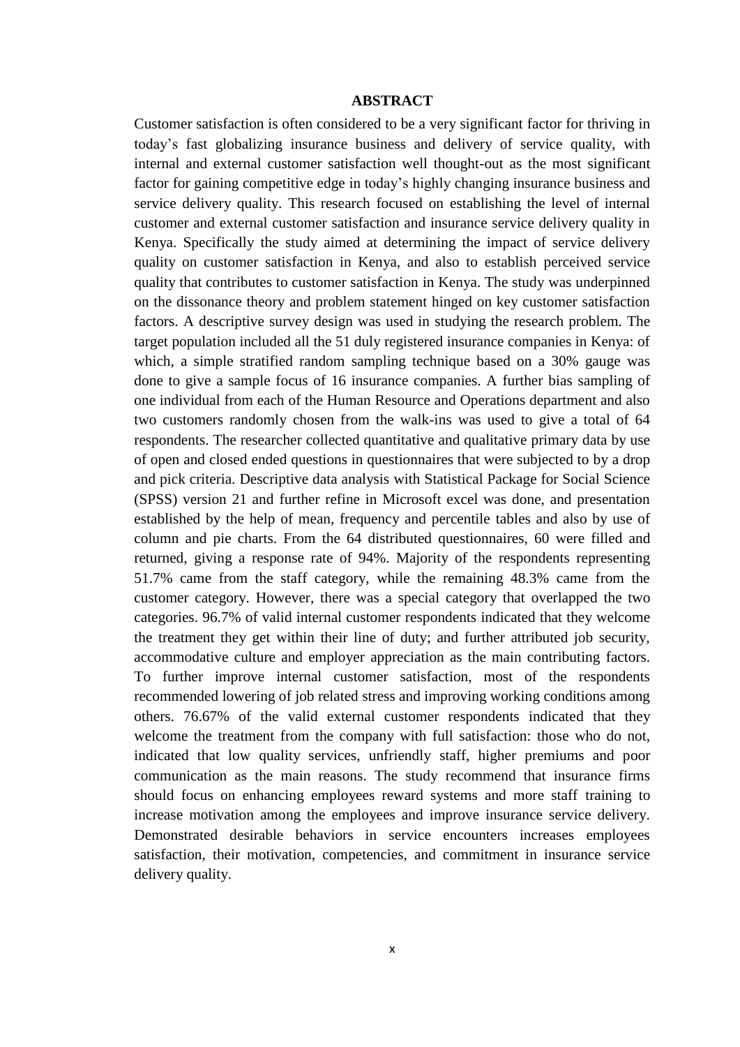#### **ABSTRACT**

<span id="page-9-0"></span>Customer satisfaction is often considered to be a very significant factor for thriving in today's fast globalizing insurance business and delivery of service quality, with internal and external customer satisfaction well thought-out as the most significant factor for gaining competitive edge in today's highly changing insurance business and service delivery quality. This research focused on establishing the level of internal customer and external customer satisfaction and insurance service delivery quality in Kenya. Specifically the study aimed at determining the impact of service delivery quality on customer satisfaction in Kenya, and also to establish perceived service quality that contributes to customer satisfaction in Kenya. The study was underpinned on the dissonance theory and problem statement hinged on key customer satisfaction factors. A descriptive survey design was used in studying the research problem. The target population included all the 51 duly registered insurance companies in Kenya: of which, a simple stratified random sampling technique based on a 30% gauge was done to give a sample focus of 16 insurance companies. A further bias sampling of one individual from each of the Human Resource and Operations department and also two customers randomly chosen from the walk-ins was used to give a total of 64 respondents. The researcher collected quantitative and qualitative primary data by use of open and closed ended questions in questionnaires that were subjected to by a drop and pick criteria. Descriptive data analysis with Statistical Package for Social Science (SPSS) version 21 and further refine in Microsoft excel was done, and presentation established by the help of mean, frequency and percentile tables and also by use of column and pie charts. From the 64 distributed questionnaires, 60 were filled and returned, giving a response rate of 94%. Majority of the respondents representing 51.7% came from the staff category, while the remaining 48.3% came from the customer category. However, there was a special category that overlapped the two categories. 96.7% of valid internal customer respondents indicated that they welcome the treatment they get within their line of duty; and further attributed job security, accommodative culture and employer appreciation as the main contributing factors. To further improve internal customer satisfaction, most of the respondents recommended lowering of job related stress and improving working conditions among others. 76.67% of the valid external customer respondents indicated that they welcome the treatment from the company with full satisfaction: those who do not, indicated that low quality services, unfriendly staff, higher premiums and poor communication as the main reasons. The study recommend that insurance firms should focus on enhancing employees reward systems and more staff training to increase motivation among the employees and improve insurance service delivery. Demonstrated desirable behaviors in service encounters increases employees satisfaction, their motivation, competencies, and commitment in insurance service delivery quality.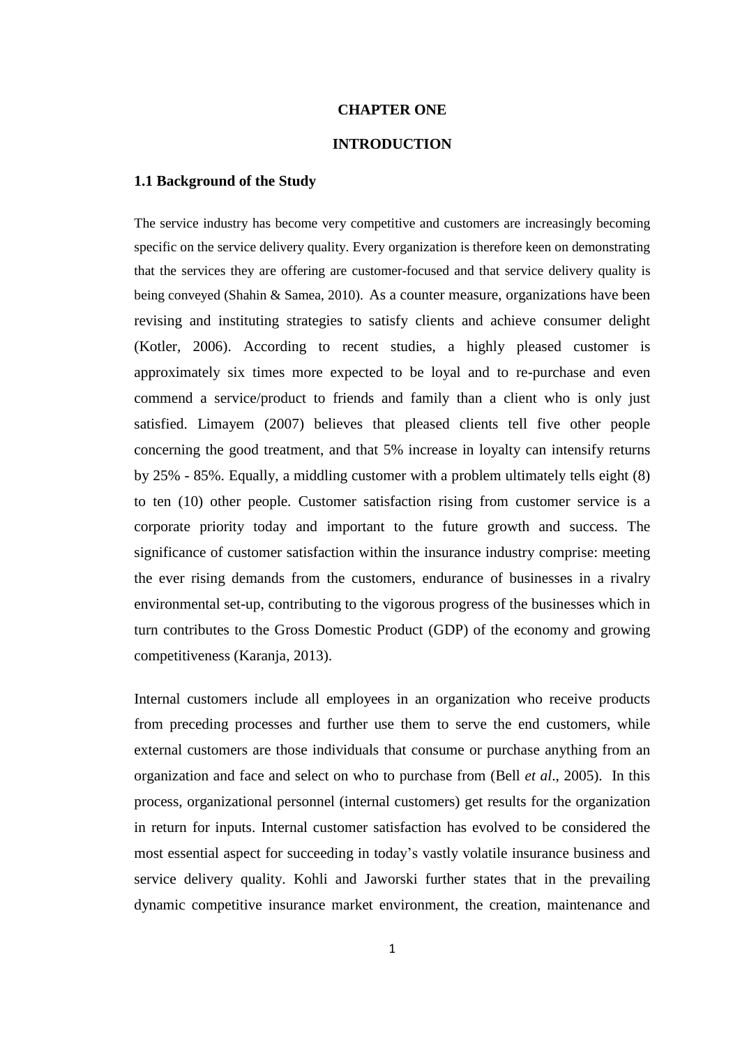#### **CHAPTER ONE**

## **INTRODUCTION**

#### <span id="page-10-2"></span><span id="page-10-1"></span><span id="page-10-0"></span>**1.1 Background of the Study**

The service industry has become very competitive and customers are increasingly becoming specific on the service delivery quality. Every organization is therefore keen on demonstrating that the services they are offering are customer-focused and that service delivery quality is being conveyed (Shahin & Samea, 2010). As a counter measure, organizations have been revising and instituting strategies to satisfy clients and achieve consumer delight (Kotler, 2006). According to recent studies, a highly pleased customer is approximately six times more expected to be loyal and to re-purchase and even commend a service/product to friends and family than a client who is only just satisfied. Limayem (2007) believes that pleased clients tell five other people concerning the good treatment, and that 5% increase in loyalty can intensify returns by 25% - 85%. Equally, a middling customer with a problem ultimately tells eight (8) to ten (10) other people. Customer satisfaction rising from customer service is a corporate priority today and important to the future growth and success. The significance of customer satisfaction within the insurance industry comprise: meeting the ever rising demands from the customers, endurance of businesses in a rivalry environmental set-up, contributing to the vigorous progress of the businesses which in turn contributes to the Gross Domestic Product (GDP) of the economy and growing competitiveness (Karanja, 2013).

Internal customers include all employees in an organization who receive products from preceding processes and further use them to serve the end customers, while external customers are those individuals that consume or purchase anything from an organization and face and select on who to purchase from (Bell *et al*., 2005). In this process, organizational personnel (internal customers) get results for the organization in return for inputs. Internal customer satisfaction has evolved to be considered the most essential aspect for succeeding in today's vastly volatile insurance business and service delivery quality. Kohli and Jaworski further states that in the prevailing dynamic competitive insurance market environment, the creation, maintenance and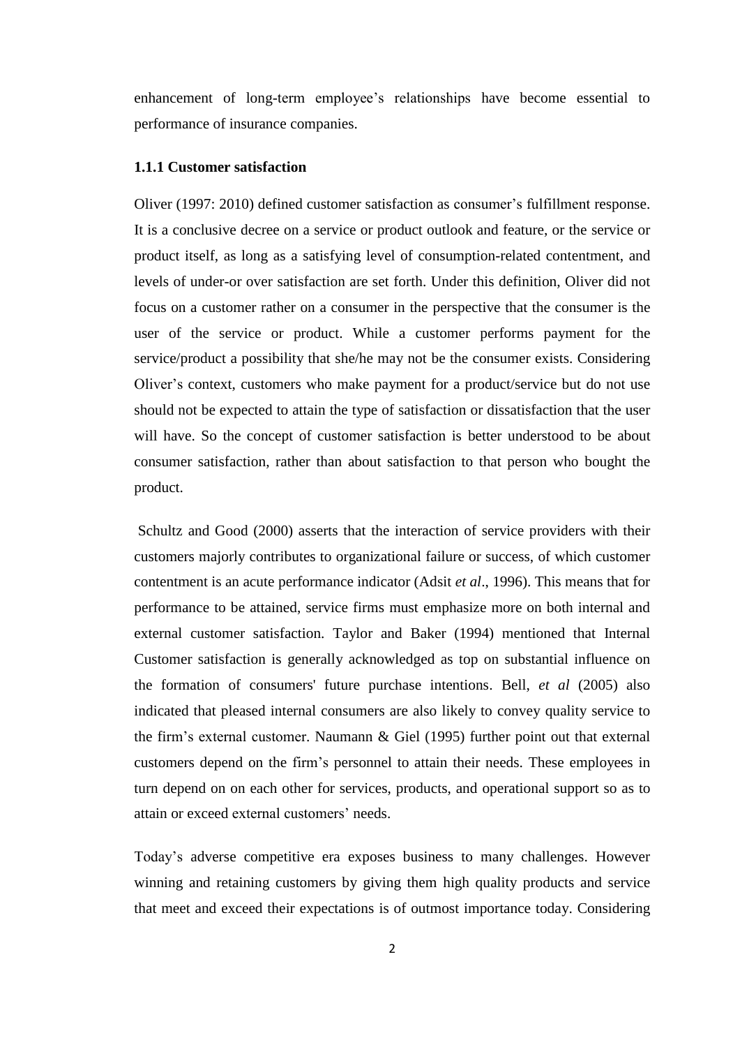enhancement of long-term employee's relationships have become essential to performance of insurance companies.

#### <span id="page-11-0"></span>**1.1.1 Customer satisfaction**

Oliver (1997: 2010) defined customer satisfaction as consumer's fulfillment response. It is a conclusive decree on a service or product outlook and feature, or the service or product itself, as long as a satisfying level of consumption-related contentment, and levels of under-or over satisfaction are set forth. Under this definition, Oliver did not focus on a customer rather on a consumer in the perspective that the consumer is the user of the service or product. While a customer performs payment for the service/product a possibility that she/he may not be the consumer exists. Considering Oliver's context, customers who make payment for a product/service but do not use should not be expected to attain the type of satisfaction or dissatisfaction that the user will have. So the concept of customer satisfaction is better understood to be about consumer satisfaction, rather than about satisfaction to that person who bought the product.

Schultz and Good (2000) asserts that the interaction of service providers with their customers majorly contributes to organizational failure or success, of which customer contentment is an acute performance indicator (Adsit *et al*., 1996). This means that for performance to be attained, service firms must emphasize more on both internal and external customer satisfaction. Taylor and Baker (1994) mentioned that Internal Customer satisfaction is generally acknowledged as top on substantial influence on the formation of consumers' future purchase intentions. Bell, *et al* (2005) also indicated that pleased internal consumers are also likely to convey quality service to the firm's external customer. Naumann & Giel (1995) further point out that external customers depend on the firm's personnel to attain their needs. These employees in turn depend on on each other for services, products, and operational support so as to attain or exceed external customers' needs.

Today's adverse competitive era exposes business to many challenges. However winning and retaining customers by giving them high quality products and service that meet and exceed their expectations is of outmost importance today. Considering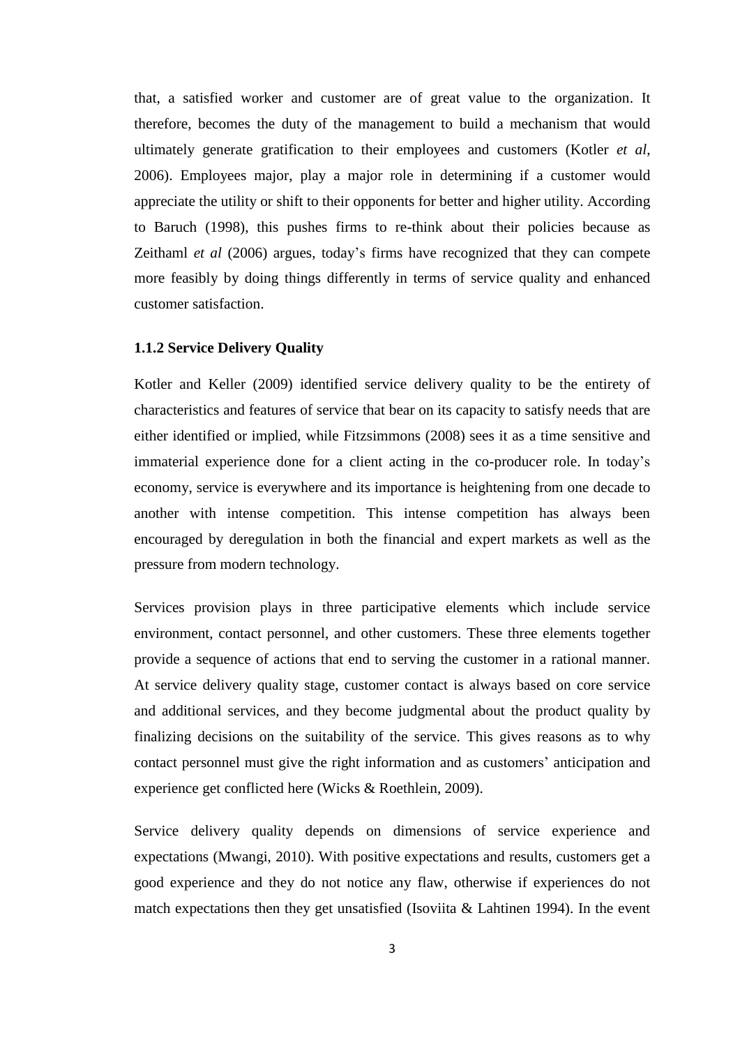that, a satisfied worker and customer are of great value to the organization. It therefore, becomes the duty of the management to build a mechanism that would ultimately generate gratification to their employees and customers (Kotler *et al*, 2006). Employees major, play a major role in determining if a customer would appreciate the utility or shift to their opponents for better and higher utility. According to Baruch (1998), this pushes firms to re-think about their policies because as Zeithaml *et al* (2006) argues, today's firms have recognized that they can compete more feasibly by doing things differently in terms of service quality and enhanced customer satisfaction.

#### <span id="page-12-0"></span>**1.1.2 Service Delivery Quality**

Kotler and Keller (2009) identified service delivery quality to be the entirety of characteristics and features of service that bear on its capacity to satisfy needs that are either identified or implied, while Fitzsimmons (2008) sees it as a time sensitive and immaterial experience done for a client acting in the co-producer role. In today's economy, service is everywhere and its importance is heightening from one decade to another with intense competition. This intense competition has always been encouraged by deregulation in both the financial and expert markets as well as the pressure from modern technology.

Services provision plays in three participative elements which include service environment, contact personnel, and other customers. These three elements together provide a sequence of actions that end to serving the customer in a rational manner. At service delivery quality stage, customer contact is always based on core service and additional services, and they become judgmental about the product quality by finalizing decisions on the suitability of the service. This gives reasons as to why contact personnel must give the right information and as customers' anticipation and experience get conflicted here (Wicks & Roethlein, 2009).

Service delivery quality depends on dimensions of service experience and expectations (Mwangi, 2010). With positive expectations and results, customers get a good experience and they do not notice any flaw, otherwise if experiences do not match expectations then they get unsatisfied (Isoviita & Lahtinen 1994). In the event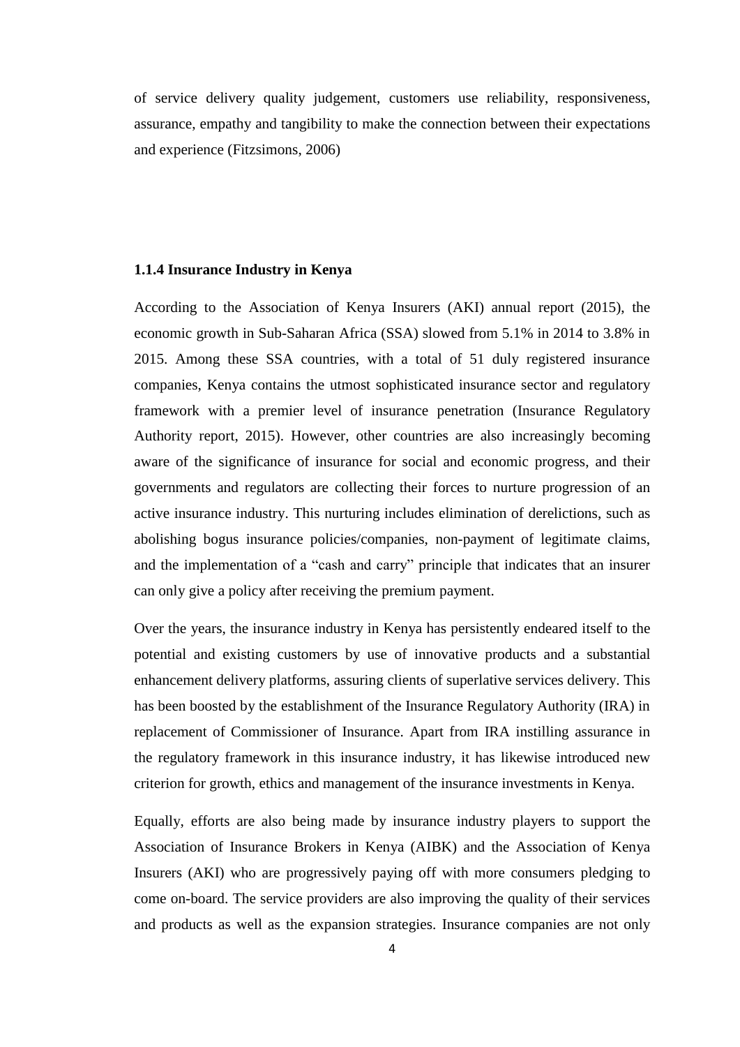of service delivery quality judgement, customers use reliability, responsiveness, assurance, empathy and tangibility to make the connection between their expectations and experience (Fitzsimons, 2006)

#### **1.1.4 Insurance Industry in Kenya**

According to the Association of Kenya Insurers (AKI) annual report (2015), the economic growth in Sub-Saharan Africa (SSA) slowed from 5.1% in 2014 to 3.8% in 2015. Among these SSA countries, with a total of 51 duly registered insurance companies, Kenya contains the utmost sophisticated insurance sector and regulatory framework with a premier level of insurance penetration (Insurance Regulatory Authority report, 2015). However, other countries are also increasingly becoming aware of the significance of insurance for social and economic progress, and their governments and regulators are collecting their forces to nurture progression of an active insurance industry. This nurturing includes elimination of derelictions, such as abolishing bogus insurance policies/companies, non-payment of legitimate claims, and the implementation of a "cash and carry" principle that indicates that an insurer can only give a policy after receiving the premium payment.

Over the years, the insurance industry in Kenya has persistently endeared itself to the potential and existing customers by use of innovative products and a substantial enhancement delivery platforms, assuring clients of superlative services delivery. This has been boosted by the establishment of the Insurance Regulatory Authority (IRA) in replacement of Commissioner of Insurance. Apart from IRA instilling assurance in the regulatory framework in this insurance industry, it has likewise introduced new criterion for growth, ethics and management of the insurance investments in Kenya.

Equally, efforts are also being made by insurance industry players to support the Association of Insurance Brokers in Kenya (AIBK) and the Association of Kenya Insurers (AKI) who are progressively paying off with more consumers pledging to come on-board. The service providers are also improving the quality of their services and products as well as the expansion strategies. Insurance companies are not only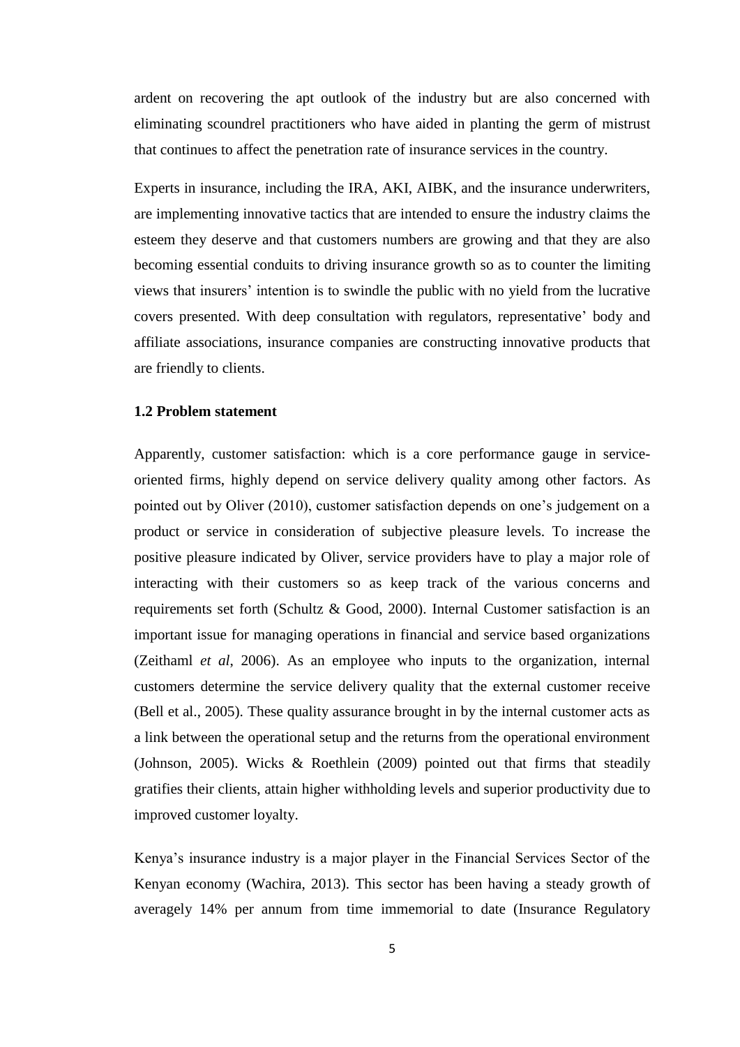ardent on recovering the apt outlook of the industry but are also concerned with eliminating scoundrel practitioners who have aided in planting the germ of mistrust that continues to affect the penetration rate of insurance services in the country.

Experts in insurance, including the IRA, AKI, AIBK, and the insurance underwriters, are implementing innovative tactics that are intended to ensure the industry claims the esteem they deserve and that customers numbers are growing and that they are also becoming essential conduits to driving insurance growth so as to counter the limiting views that insurers' intention is to swindle the public with no yield from the lucrative covers presented. With deep consultation with regulators, representative' body and affiliate associations, insurance companies are constructing innovative products that are friendly to clients.

## <span id="page-14-0"></span>**1.2 Problem statement**

Apparently, customer satisfaction: which is a core performance gauge in serviceoriented firms, highly depend on service delivery quality among other factors. As pointed out by Oliver (2010), customer satisfaction depends on one's judgement on a product or service in consideration of subjective pleasure levels. To increase the positive pleasure indicated by Oliver, service providers have to play a major role of interacting with their customers so as keep track of the various concerns and requirements set forth (Schultz & Good, 2000). Internal Customer satisfaction is an important issue for managing operations in financial and service based organizations (Zeithaml *et al*, 2006). As an employee who inputs to the organization, internal customers determine the service delivery quality that the external customer receive (Bell et al., 2005). These quality assurance brought in by the internal customer acts as a link between the operational setup and the returns from the operational environment (Johnson, 2005). Wicks & Roethlein (2009) pointed out that firms that steadily gratifies their clients, attain higher withholding levels and superior productivity due to improved customer loyalty.

Kenya's insurance industry is a major player in the Financial Services Sector of the Kenyan economy (Wachira, 2013). This sector has been having a steady growth of averagely 14% per annum from time immemorial to date (Insurance Regulatory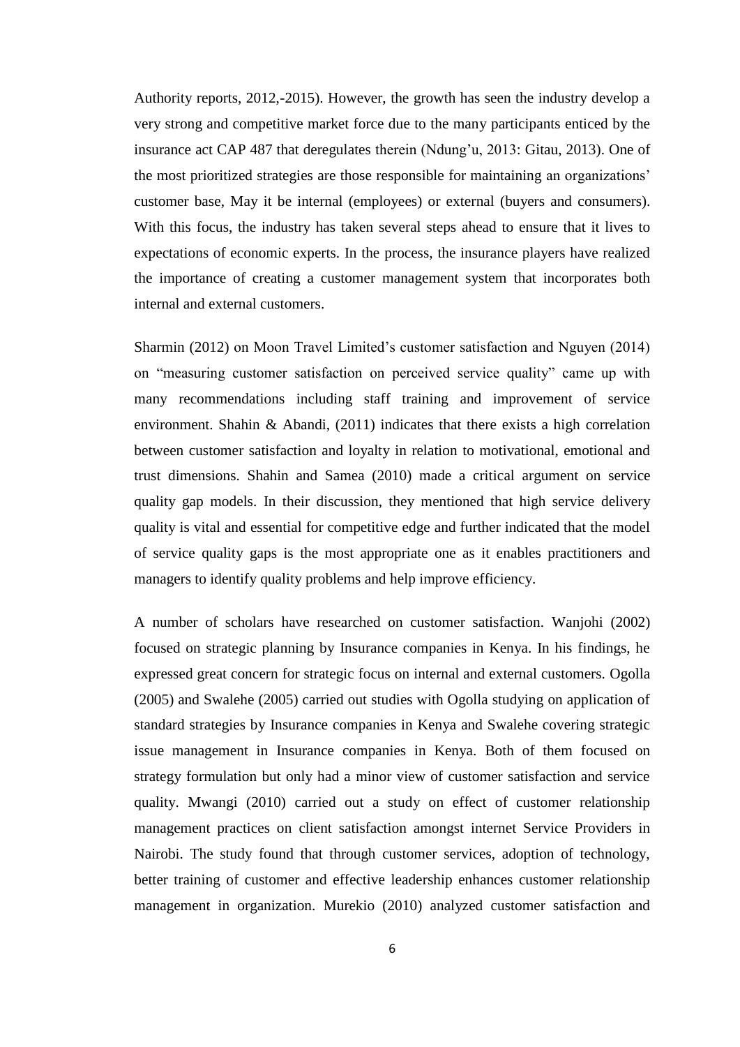Authority reports, 2012,-2015). However, the growth has seen the industry develop a very strong and competitive market force due to the many participants enticed by the insurance act CAP 487 that deregulates therein (Ndung'u, 2013: Gitau, 2013). One of the most prioritized strategies are those responsible for maintaining an organizations' customer base, May it be internal (employees) or external (buyers and consumers). With this focus, the industry has taken several steps ahead to ensure that it lives to expectations of economic experts. In the process, the insurance players have realized the importance of creating a customer management system that incorporates both internal and external customers.

Sharmin (2012) on Moon Travel Limited's customer satisfaction and Nguyen (2014) on "measuring customer satisfaction on perceived service quality" came up with many recommendations including staff training and improvement of service environment. Shahin & Abandi, (2011) indicates that there exists a high correlation between customer satisfaction and loyalty in relation to motivational, emotional and trust dimensions. Shahin and Samea (2010) made a critical argument on service quality gap models. In their discussion, they mentioned that high service delivery quality is vital and essential for competitive edge and further indicated that the model of service quality gaps is the most appropriate one as it enables practitioners and managers to identify quality problems and help improve efficiency.

A number of scholars have researched on customer satisfaction. Wanjohi (2002) focused on strategic planning by Insurance companies in Kenya. In his findings, he expressed great concern for strategic focus on internal and external customers. Ogolla (2005) and Swalehe (2005) carried out studies with Ogolla studying on application of standard strategies by Insurance companies in Kenya and Swalehe covering strategic issue management in Insurance companies in Kenya. Both of them focused on strategy formulation but only had a minor view of customer satisfaction and service quality. Mwangi (2010) carried out a study on effect of customer relationship management practices on client satisfaction amongst internet Service Providers in Nairobi. The study found that through customer services, adoption of technology, better training of customer and effective leadership enhances customer relationship management in organization. Murekio (2010) analyzed customer satisfaction and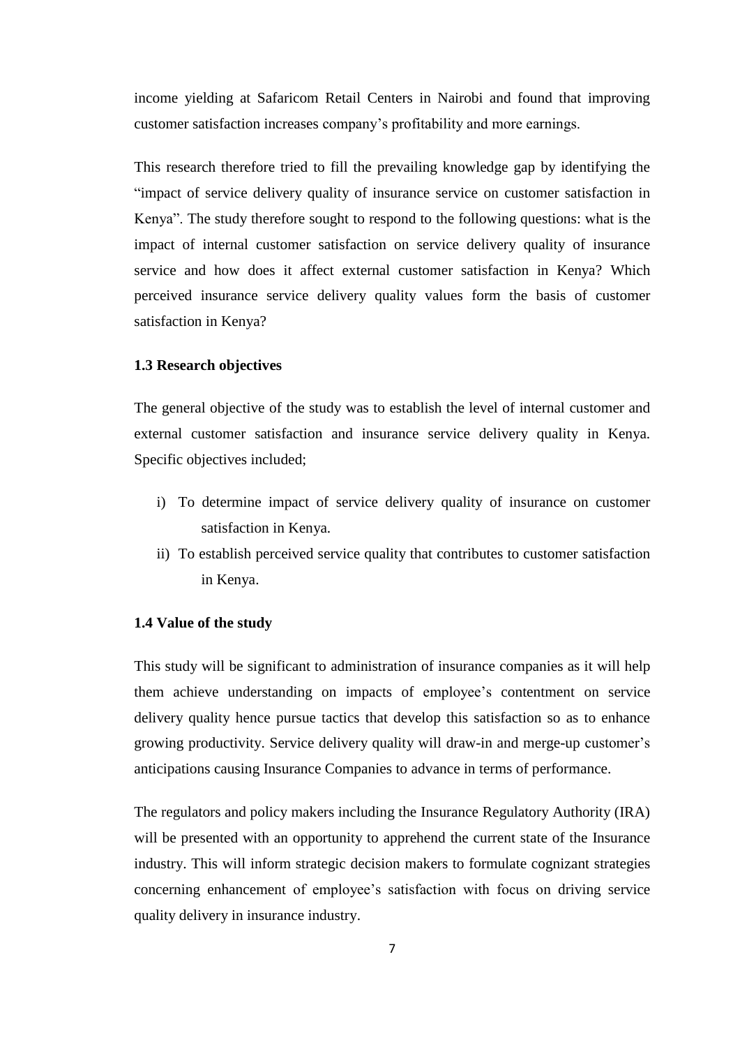income yielding at Safaricom Retail Centers in Nairobi and found that improving customer satisfaction increases company's profitability and more earnings.

This research therefore tried to fill the prevailing knowledge gap by identifying the "impact of service delivery quality of insurance service on customer satisfaction in Kenya". The study therefore sought to respond to the following questions: what is the impact of internal customer satisfaction on service delivery quality of insurance service and how does it affect external customer satisfaction in Kenya? Which perceived insurance service delivery quality values form the basis of customer satisfaction in Kenya?

#### <span id="page-16-0"></span>**1.3 Research objectives**

The general objective of the study was to establish the level of internal customer and external customer satisfaction and insurance service delivery quality in Kenya. Specific objectives included;

- i) To determine impact of service delivery quality of insurance on customer satisfaction in Kenya.
- ii) To establish perceived service quality that contributes to customer satisfaction in Kenya.

#### <span id="page-16-1"></span>**1.4 Value of the study**

This study will be significant to administration of insurance companies as it will help them achieve understanding on impacts of employee's contentment on service delivery quality hence pursue tactics that develop this satisfaction so as to enhance growing productivity. Service delivery quality will draw-in and merge-up customer's anticipations causing Insurance Companies to advance in terms of performance.

The regulators and policy makers including the Insurance Regulatory Authority (IRA) will be presented with an opportunity to apprehend the current state of the Insurance industry. This will inform strategic decision makers to formulate cognizant strategies concerning enhancement of employee's satisfaction with focus on driving service quality delivery in insurance industry.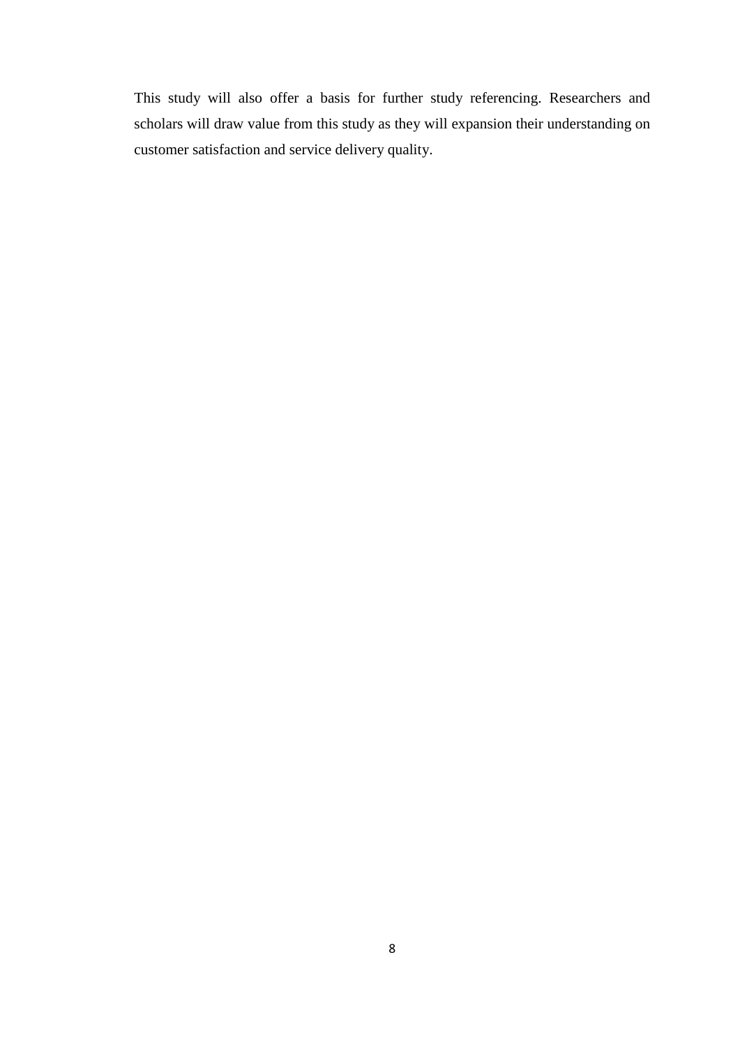This study will also offer a basis for further study referencing. Researchers and scholars will draw value from this study as they will expansion their understanding on customer satisfaction and service delivery quality.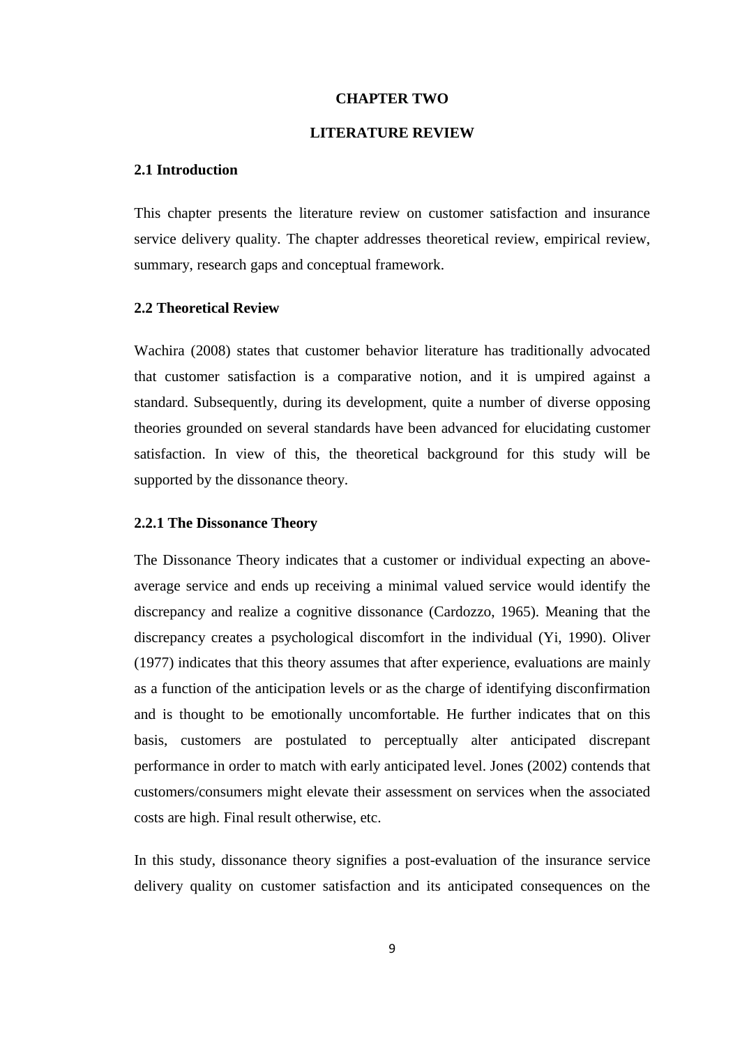#### **CHAPTER TWO**

#### **LITERATURE REVIEW**

## <span id="page-18-2"></span><span id="page-18-1"></span><span id="page-18-0"></span>**2.1 Introduction**

This chapter presents the literature review on customer satisfaction and insurance service delivery quality. The chapter addresses theoretical review, empirical review, summary, research gaps and conceptual framework.

## <span id="page-18-3"></span>**2.2 Theoretical Review**

Wachira (2008) states that customer behavior literature has traditionally advocated that customer satisfaction is a comparative notion, and it is umpired against a standard. Subsequently, during its development, quite a number of diverse opposing theories grounded on several standards have been advanced for elucidating customer satisfaction. In view of this, the theoretical background for this study will be supported by the dissonance theory.

#### <span id="page-18-4"></span>**2.2.1 The Dissonance Theory**

The Dissonance Theory indicates that a customer or individual expecting an aboveaverage service and ends up receiving a minimal valued service would identify the discrepancy and realize a cognitive dissonance (Cardozzo, 1965). Meaning that the discrepancy creates a psychological discomfort in the individual (Yi, 1990). Oliver (1977) indicates that this theory assumes that after experience, evaluations are mainly as a function of the anticipation levels or as the charge of identifying disconfirmation and is thought to be emotionally uncomfortable. He further indicates that on this basis, customers are postulated to perceptually alter anticipated discrepant performance in order to match with early anticipated level. Jones (2002) contends that customers/consumers might elevate their assessment on services when the associated costs are high. Final result otherwise, etc.

In this study, dissonance theory signifies a post-evaluation of the insurance service delivery quality on customer satisfaction and its anticipated consequences on the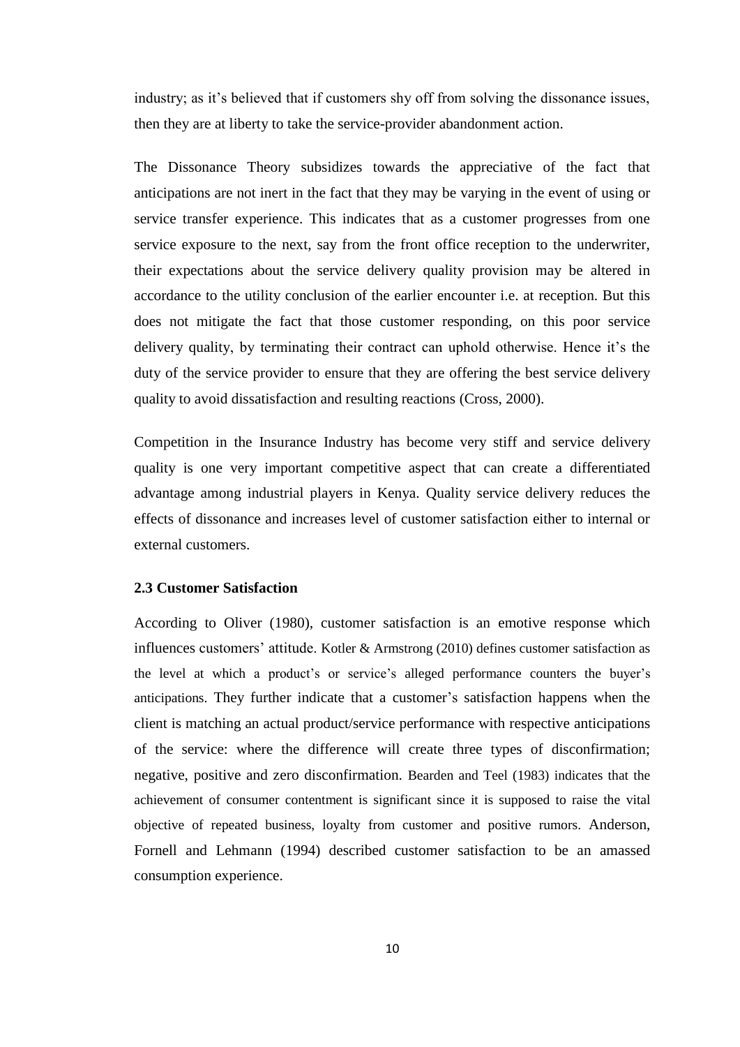industry; as it's believed that if customers shy off from solving the dissonance issues, then they are at liberty to take the service-provider abandonment action.

The Dissonance Theory subsidizes towards the appreciative of the fact that anticipations are not inert in the fact that they may be varying in the event of using or service transfer experience. This indicates that as a customer progresses from one service exposure to the next, say from the front office reception to the underwriter, their expectations about the service delivery quality provision may be altered in accordance to the utility conclusion of the earlier encounter i.e. at reception. But this does not mitigate the fact that those customer responding, on this poor service delivery quality, by terminating their contract can uphold otherwise. Hence it's the duty of the service provider to ensure that they are offering the best service delivery quality to avoid dissatisfaction and resulting reactions (Cross, 2000).

Competition in the Insurance Industry has become very stiff and service delivery quality is one very important competitive aspect that can create a differentiated advantage among industrial players in Kenya. Quality service delivery reduces the effects of dissonance and increases level of customer satisfaction either to internal or external customers.

## <span id="page-19-0"></span>**2.3 Customer Satisfaction**

According to Oliver (1980), customer satisfaction is an emotive response which influences customers' attitude. Kotler & Armstrong (2010) defines customer satisfaction as the level at which a product's or service's alleged performance counters the buyer's anticipations. They further indicate that a customer's satisfaction happens when the client is matching an actual product/service performance with respective anticipations of the service: where the difference will create three types of disconfirmation; negative, positive and zero disconfirmation. Bearden and Teel (1983) indicates that the achievement of consumer contentment is significant since it is supposed to raise the vital objective of repeated business, loyalty from customer and positive rumors. Anderson, Fornell and Lehmann (1994) described customer satisfaction to be an amassed consumption experience.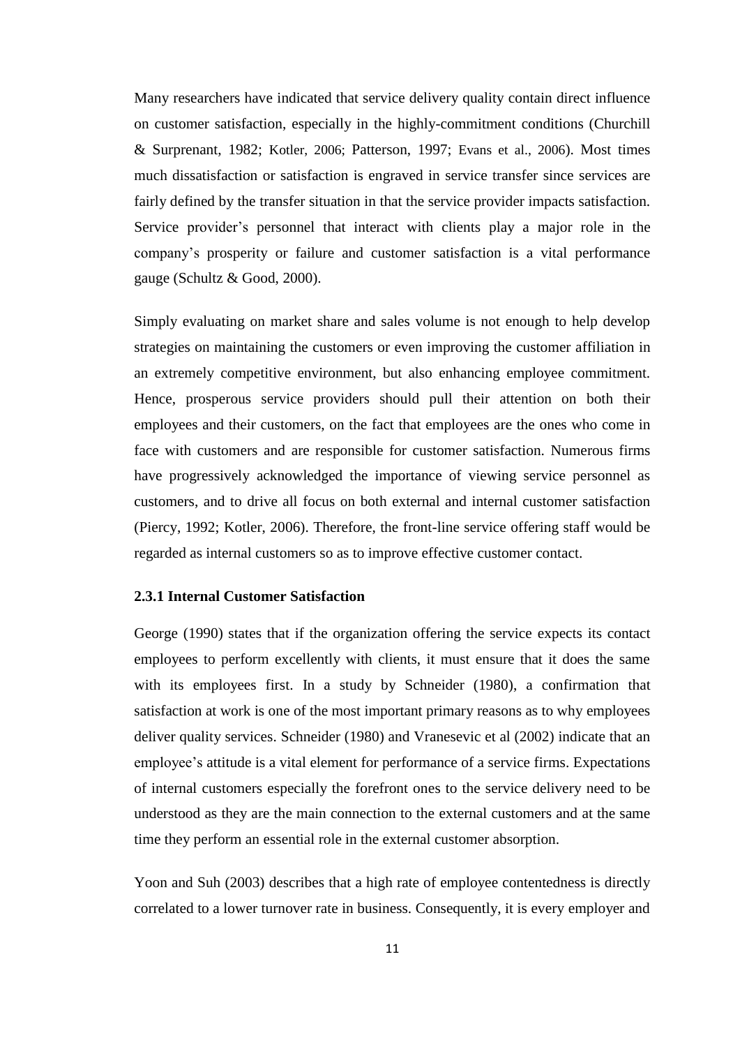Many researchers have indicated that service delivery quality contain direct influence on customer satisfaction, especially in the highly-commitment conditions (Churchill & Surprenant, 1982; Kotler, 2006; Patterson, 1997; Evans et al., 2006). Most times much dissatisfaction or satisfaction is engraved in service transfer since services are fairly defined by the transfer situation in that the service provider impacts satisfaction. Service provider's personnel that interact with clients play a major role in the company's prosperity or failure and customer satisfaction is a vital performance gauge (Schultz & Good, 2000).

Simply evaluating on market share and sales volume is not enough to help develop strategies on maintaining the customers or even improving the customer affiliation in an extremely competitive environment, but also enhancing employee commitment. Hence, prosperous service providers should pull their attention on both their employees and their customers, on the fact that employees are the ones who come in face with customers and are responsible for customer satisfaction. Numerous firms have progressively acknowledged the importance of viewing service personnel as customers, and to drive all focus on both external and internal customer satisfaction (Piercy, 1992; Kotler, 2006). Therefore, the front-line service offering staff would be regarded as internal customers so as to improve effective customer contact.

## <span id="page-20-0"></span>**2.3.1 Internal Customer Satisfaction**

George (1990) states that if the organization offering the service expects its contact employees to perform excellently with clients, it must ensure that it does the same with its employees first. In a study by Schneider (1980), a confirmation that satisfaction at work is one of the most important primary reasons as to why employees deliver quality services. Schneider (1980) and Vranesevic et al (2002) indicate that an employee's attitude is a vital element for performance of a service firms. Expectations of internal customers especially the forefront ones to the service delivery need to be understood as they are the main connection to the external customers and at the same time they perform an essential role in the external customer absorption.

Yoon and Suh (2003) describes that a high rate of employee contentedness is directly correlated to a lower turnover rate in business. Consequently, it is every employer and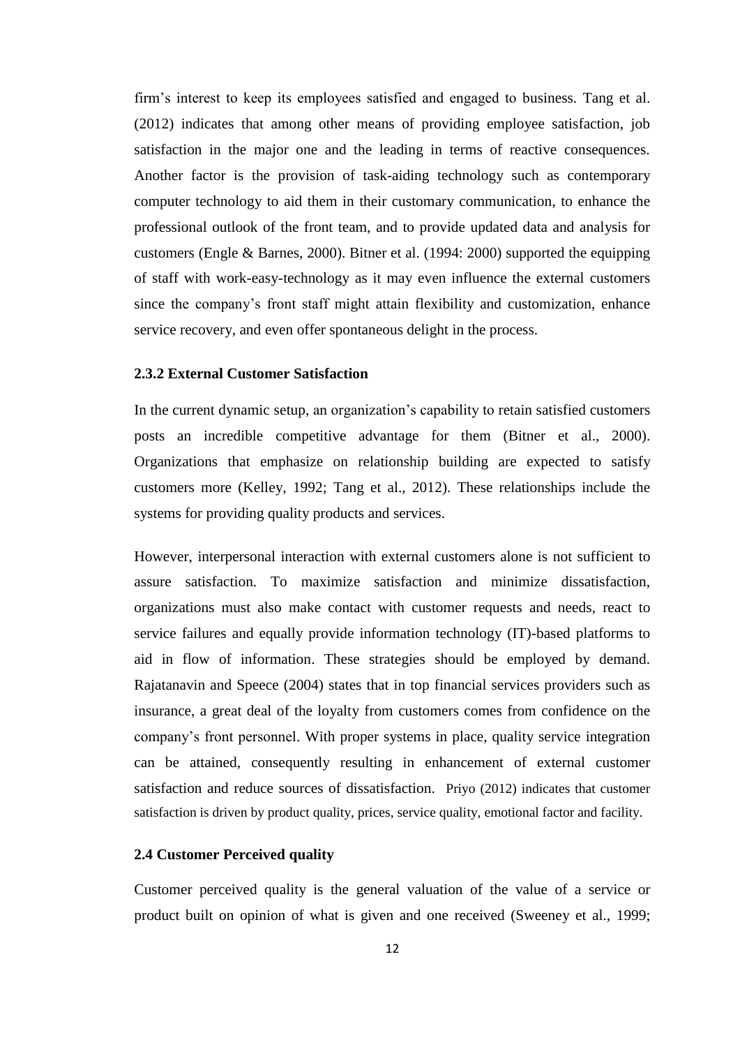firm's interest to keep its employees satisfied and engaged to business. Tang et al. (2012) indicates that among other means of providing employee satisfaction, job satisfaction in the major one and the leading in terms of reactive consequences. Another factor is the provision of task-aiding technology such as contemporary computer technology to aid them in their customary communication, to enhance the professional outlook of the front team, and to provide updated data and analysis for customers (Engle & Barnes, 2000). Bitner et al. (1994: 2000) supported the equipping of staff with work-easy-technology as it may even influence the external customers since the company's front staff might attain flexibility and customization, enhance service recovery, and even offer spontaneous delight in the process.

## <span id="page-21-0"></span>**2.3.2 External Customer Satisfaction**

In the current dynamic setup, an organization's capability to retain satisfied customers posts an incredible competitive advantage for them (Bitner et al., 2000). Organizations that emphasize on relationship building are expected to satisfy customers more (Kelley, 1992; Tang et al., 2012). These relationships include the systems for providing quality products and services.

However, interpersonal interaction with external customers alone is not sufficient to assure satisfaction. To maximize satisfaction and minimize dissatisfaction, organizations must also make contact with customer requests and needs, react to service failures and equally provide information technology (IT)-based platforms to aid in flow of information. These strategies should be employed by demand. Rajatanavin and Speece (2004) states that in top financial services providers such as insurance, a great deal of the loyalty from customers comes from confidence on the company's front personnel. With proper systems in place, quality service integration can be attained, consequently resulting in enhancement of external customer satisfaction and reduce sources of dissatisfaction. Priyo (2012) indicates that customer satisfaction is driven by product quality, prices, service quality, emotional factor and facility.

### <span id="page-21-1"></span>**2.4 Customer Perceived quality**

Customer perceived quality is the general valuation of the value of a service or product built on opinion of what is given and one received (Sweeney et al., 1999;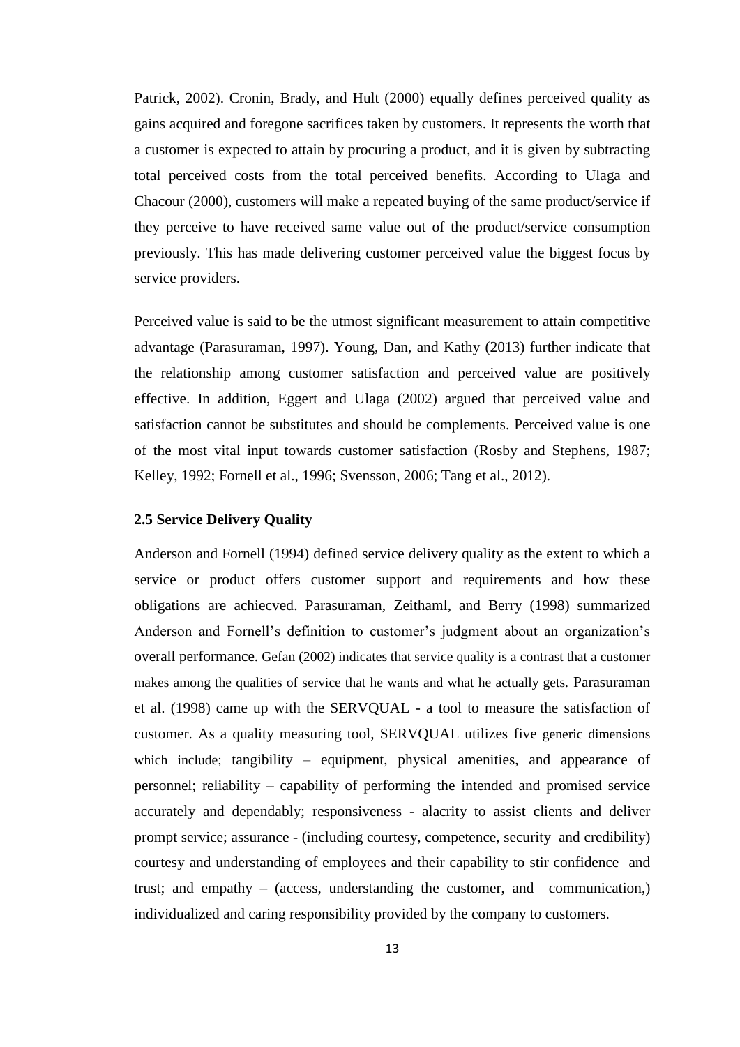Patrick, 2002). Cronin, Brady, and Hult (2000) equally defines perceived quality as gains acquired and foregone sacrifices taken by customers. It represents the worth that a customer is expected to attain by procuring a product, and it is given by subtracting total perceived costs from the total perceived benefits. According to Ulaga and Chacour (2000), customers will make a repeated buying of the same product/service if they perceive to have received same value out of the product/service consumption previously. This has made delivering customer perceived value the biggest focus by service providers.

Perceived value is said to be the utmost significant measurement to attain competitive advantage (Parasuraman, 1997). Young, Dan, and Kathy (2013) further indicate that the relationship among customer satisfaction and perceived value are positively effective. In addition, Eggert and Ulaga (2002) argued that perceived value and satisfaction cannot be substitutes and should be complements. Perceived value is one of the most vital input towards customer satisfaction (Rosby and Stephens, 1987; Kelley, 1992; Fornell et al., 1996; Svensson, 2006; Tang et al., 2012).

#### <span id="page-22-0"></span>**2.5 Service Delivery Quality**

Anderson and Fornell (1994) defined service delivery quality as the extent to which a service or product offers customer support and requirements and how these obligations are achiecved. Parasuraman, Zeithaml, and Berry (1998) summarized Anderson and Fornell's definition to customer's judgment about an organization's overall performance. Gefan (2002) indicates that service quality is a contrast that a customer makes among the qualities of service that he wants and what he actually gets. Parasuraman et al. (1998) came up with the SERVQUAL - a tool to measure the satisfaction of customer. As a quality measuring tool, SERVQUAL utilizes five generic dimensions which include; tangibility – equipment, physical amenities, and appearance of personnel; reliability – capability of performing the intended and promised service accurately and dependably; responsiveness - alacrity to assist clients and deliver prompt service; assurance - (including courtesy, competence, security and credibility) courtesy and understanding of employees and their capability to stir confidence and trust; and empathy – (access, understanding the customer, and communication,) individualized and caring responsibility provided by the company to customers.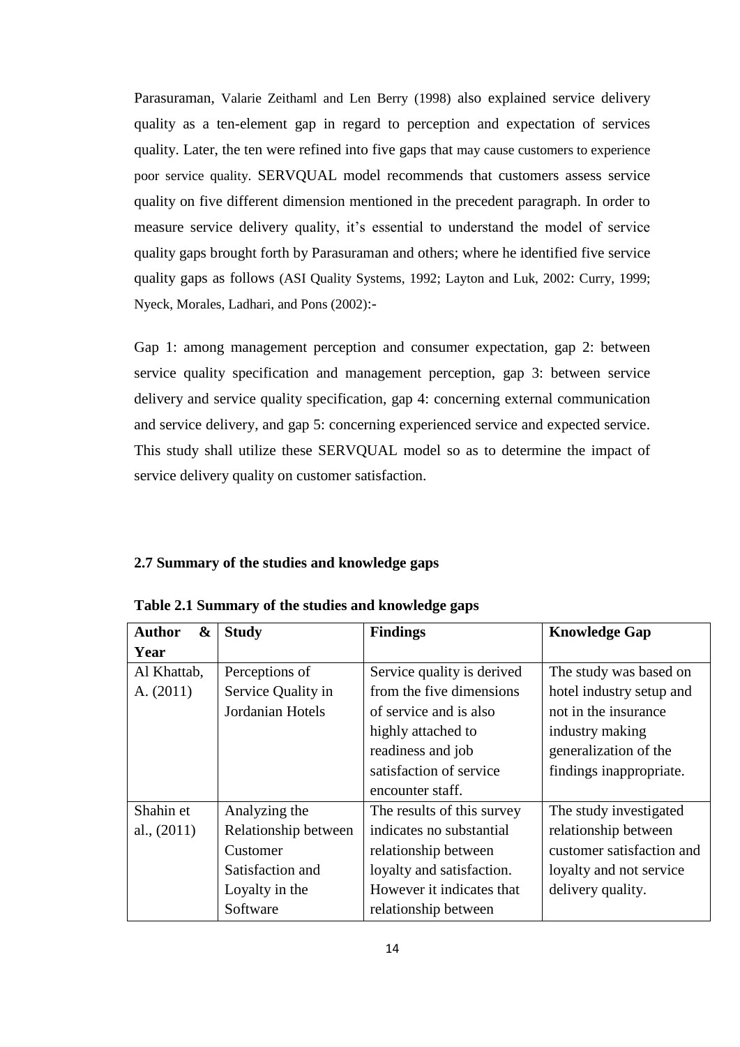Parasuraman, Valarie Zeithaml and Len Berry (1998) also explained service delivery quality as a ten-element gap in regard to perception and expectation of services quality. Later, the ten were refined into five gaps that may cause customers to experience poor service quality. SERVQUAL model recommends that customers assess service quality on five different dimension mentioned in the precedent paragraph. In order to measure service delivery quality, it's essential to understand the model of service quality gaps brought forth by Parasuraman and others; where he identified five service quality gaps as follows (ASI Quality Systems, 1992; Layton and Luk, 2002: Curry, 1999; Nyeck, Morales, Ladhari, and Pons (2002):-

Gap 1: among management perception and consumer expectation, gap 2: between service quality specification and management perception, gap 3: between service delivery and service quality specification, gap 4: concerning external communication and service delivery, and gap 5: concerning experienced service and expected service. This study shall utilize these SERVQUAL model so as to determine the impact of service delivery quality on customer satisfaction.

#### <span id="page-23-0"></span>**2.7 Summary of the studies and knowledge gaps**

| <b>Author</b><br>$\boldsymbol{\&}$ | <b>Study</b>         | <b>Findings</b>            | <b>Knowledge Gap</b>      |
|------------------------------------|----------------------|----------------------------|---------------------------|
| Year                               |                      |                            |                           |
| Al Khattab,                        | Perceptions of       | Service quality is derived | The study was based on    |
| A. (2011)                          | Service Quality in   | from the five dimensions   | hotel industry setup and  |
|                                    | Jordanian Hotels     | of service and is also     | not in the insurance      |
|                                    |                      | highly attached to         | industry making           |
|                                    |                      | readiness and job          | generalization of the     |
|                                    |                      | satisfaction of service    | findings inappropriate.   |
|                                    |                      | encounter staff.           |                           |
| Shahin et                          | Analyzing the        | The results of this survey | The study investigated    |
| al., $(2011)$                      | Relationship between | indicates no substantial   | relationship between      |
|                                    | Customer             | relationship between       | customer satisfaction and |
|                                    | Satisfaction and     | loyalty and satisfaction.  | loyalty and not service   |
|                                    | Loyalty in the       | However it indicates that  | delivery quality.         |
|                                    | Software             | relationship between       |                           |

<span id="page-23-1"></span>**Table 2.1 Summary of the studies and knowledge gaps**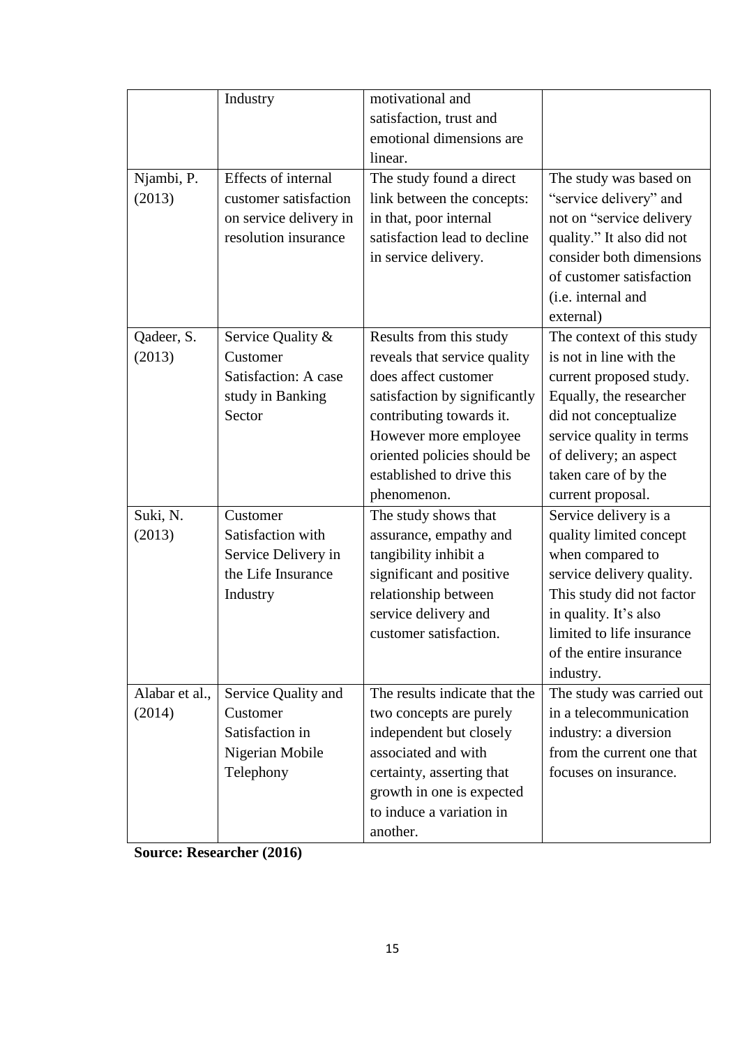|                | Industry               | motivational and              |                           |
|----------------|------------------------|-------------------------------|---------------------------|
|                |                        | satisfaction, trust and       |                           |
|                |                        | emotional dimensions are      |                           |
|                |                        | linear.                       |                           |
| Njambi, P.     | Effects of internal    | The study found a direct      | The study was based on    |
| (2013)         | customer satisfaction  | link between the concepts:    | "service delivery" and    |
|                | on service delivery in | in that, poor internal        | not on "service delivery  |
|                | resolution insurance   | satisfaction lead to decline  | quality." It also did not |
|                |                        | in service delivery.          | consider both dimensions  |
|                |                        |                               | of customer satisfaction  |
|                |                        |                               | (i.e. internal and        |
|                |                        |                               | external)                 |
| Qadeer, S.     | Service Quality &      | Results from this study       | The context of this study |
| (2013)         | Customer               | reveals that service quality  | is not in line with the   |
|                | Satisfaction: A case   | does affect customer          | current proposed study.   |
|                | study in Banking       | satisfaction by significantly | Equally, the researcher   |
|                | Sector                 | contributing towards it.      | did not conceptualize     |
|                |                        | However more employee         | service quality in terms  |
|                |                        | oriented policies should be   | of delivery; an aspect    |
|                |                        | established to drive this     | taken care of by the      |
|                |                        | phenomenon.                   | current proposal.         |
| Suki, N.       | Customer               | The study shows that          | Service delivery is a     |
| (2013)         | Satisfaction with      | assurance, empathy and        | quality limited concept   |
|                | Service Delivery in    | tangibility inhibit a         | when compared to          |
|                | the Life Insurance     | significant and positive      | service delivery quality. |
|                | Industry               | relationship between          | This study did not factor |
|                |                        | service delivery and          | in quality. It's also     |
|                |                        | customer satisfaction.        | limited to life insurance |
|                |                        |                               | of the entire insurance   |
|                |                        |                               | industry.                 |
| Alabar et al., | Service Quality and    | The results indicate that the | The study was carried out |
| (2014)         | Customer               | two concepts are purely       | in a telecommunication    |
|                | Satisfaction in        | independent but closely       | industry: a diversion     |
|                | Nigerian Mobile        | associated and with           | from the current one that |
|                | Telephony              | certainty, asserting that     | focuses on insurance.     |
|                |                        | growth in one is expected     |                           |
|                |                        | to induce a variation in      |                           |
|                |                        | another.                      |                           |
|                |                        |                               |                           |

**Source: Researcher (2016)**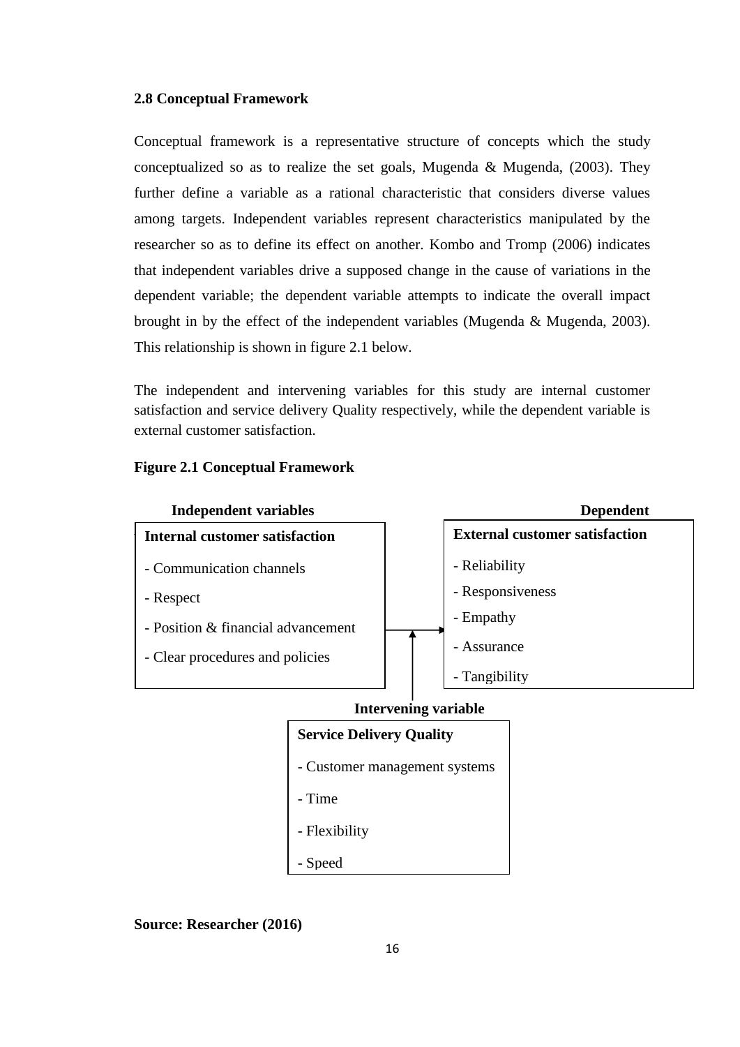## <span id="page-25-0"></span>**2.8 Conceptual Framework**

Conceptual framework is a representative structure of concepts which the study conceptualized so as to realize the set goals, Mugenda & Mugenda, (2003). They further define a variable as a rational characteristic that considers diverse values among targets. Independent variables represent characteristics manipulated by the researcher so as to define its effect on another. Kombo and Tromp (2006) indicates that independent variables drive a supposed change in the cause of variations in the dependent variable; the dependent variable attempts to indicate the overall impact brought in by the effect of the independent variables (Mugenda & Mugenda, 2003). This relationship is shown in figure 2.1 below.

The independent and intervening variables for this study are internal customer satisfaction and service delivery Quality respectively, while the dependent variable is external customer satisfaction.

## <span id="page-25-1"></span>**Figure 2.1 Conceptual Framework**



## **Intervening variable**

## **Service Delivery Quality**

- Customer management systems
- Time
- Flexibility
- Speed

**Source: Researcher (2016)**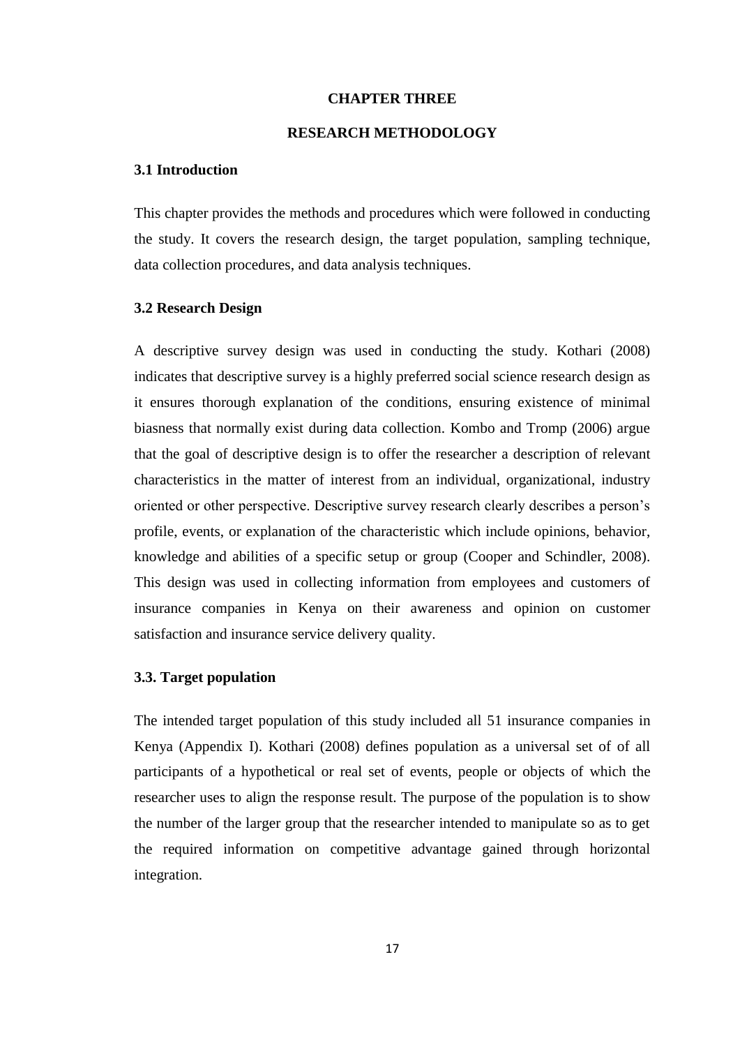#### **CHAPTER THREE**

### **RESEARCH METHODOLOGY**

### <span id="page-26-2"></span><span id="page-26-1"></span><span id="page-26-0"></span>**3.1 Introduction**

This chapter provides the methods and procedures which were followed in conducting the study. It covers the research design, the target population, sampling technique, data collection procedures, and data analysis techniques.

### <span id="page-26-3"></span>**3.2 Research Design**

A descriptive survey design was used in conducting the study. Kothari (2008) indicates that descriptive survey is a highly preferred social science research design as it ensures thorough explanation of the conditions, ensuring existence of minimal biasness that normally exist during data collection. Kombo and Tromp (2006) argue that the goal of descriptive design is to offer the researcher a description of relevant characteristics in the matter of interest from an individual, organizational, industry oriented or other perspective. Descriptive survey research clearly describes a person's profile, events, or explanation of the characteristic which include opinions, behavior, knowledge and abilities of a specific setup or group (Cooper and Schindler, 2008). This design was used in collecting information from employees and customers of insurance companies in Kenya on their awareness and opinion on customer satisfaction and insurance service delivery quality.

#### <span id="page-26-4"></span>**3.3. Target population**

The intended target population of this study included all 51 insurance companies in Kenya (Appendix I). Kothari (2008) defines population as a universal set of of all participants of a hypothetical or real set of events, people or objects of which the researcher uses to align the response result. The purpose of the population is to show the number of the larger group that the researcher intended to manipulate so as to get the required information on competitive advantage gained through horizontal integration.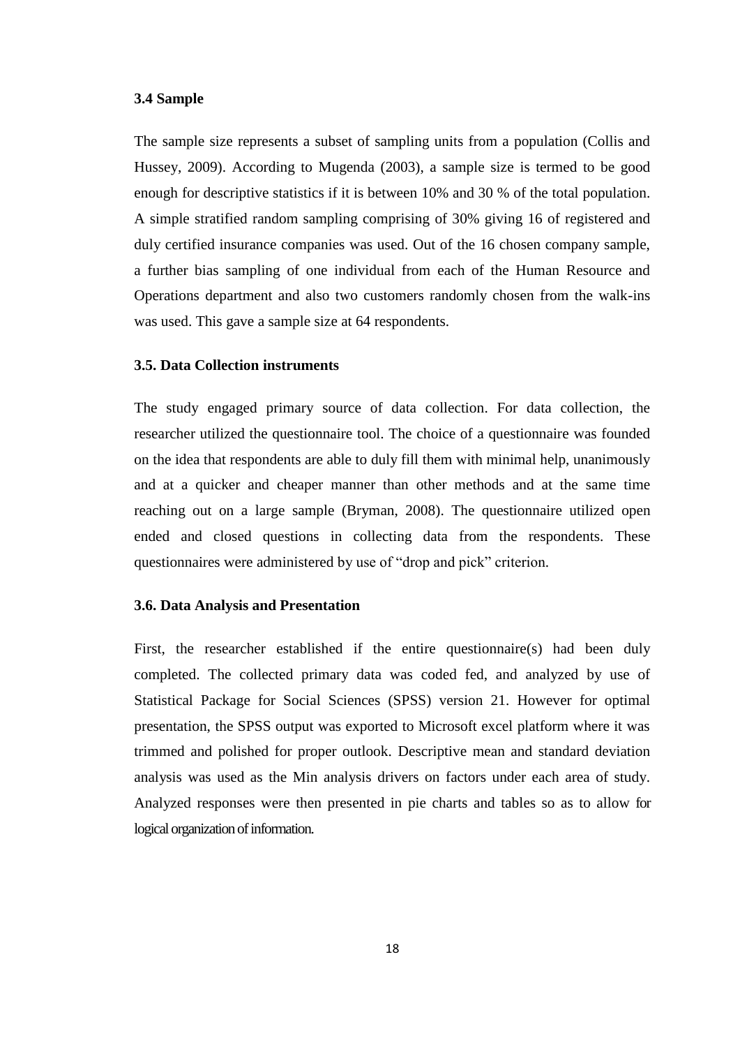#### <span id="page-27-0"></span>**3.4 Sample**

The sample size represents a subset of sampling units from a population (Collis and Hussey, 2009). According to Mugenda (2003), a sample size is termed to be good enough for descriptive statistics if it is between 10% and 30 % of the total population. A simple stratified random sampling comprising of 30% giving 16 of registered and duly certified insurance companies was used. Out of the 16 chosen company sample, a further bias sampling of one individual from each of the Human Resource and Operations department and also two customers randomly chosen from the walk-ins was used. This gave a sample size at 64 respondents.

#### <span id="page-27-1"></span>**3.5. Data Collection instruments**

The study engaged primary source of data collection. For data collection, the researcher utilized the questionnaire tool. The choice of a questionnaire was founded on the idea that respondents are able to duly fill them with minimal help, unanimously and at a quicker and cheaper manner than other methods and at the same time reaching out on a large sample (Bryman, 2008). The questionnaire utilized open ended and closed questions in collecting data from the respondents. These questionnaires were administered by use of "drop and pick" criterion.

#### <span id="page-27-2"></span>**3.6. Data Analysis and Presentation**

First, the researcher established if the entire questionnaire(s) had been duly completed. The collected primary data was coded fed, and analyzed by use of Statistical Package for Social Sciences (SPSS) version 21. However for optimal presentation, the SPSS output was exported to Microsoft excel platform where it was trimmed and polished for proper outlook. Descriptive mean and standard deviation analysis was used as the Min analysis drivers on factors under each area of study. Analyzed responses were then presented in pie charts and tables so as to allow for logical organization of information.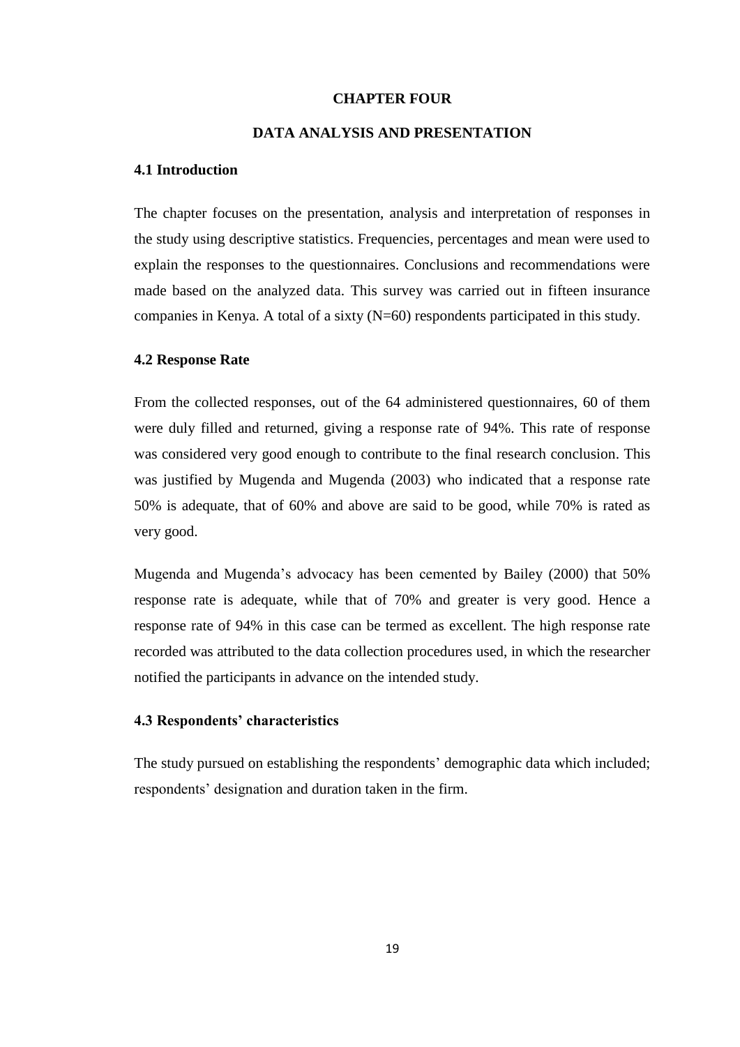#### **CHAPTER FOUR**

## **DATA ANALYSIS AND PRESENTATION**

#### <span id="page-28-2"></span><span id="page-28-1"></span><span id="page-28-0"></span>**4.1 Introduction**

The chapter focuses on the presentation, analysis and interpretation of responses in the study using descriptive statistics. Frequencies, percentages and mean were used to explain the responses to the questionnaires. Conclusions and recommendations were made based on the analyzed data. This survey was carried out in fifteen insurance companies in Kenya. A total of a sixty (N=60) respondents participated in this study.

#### <span id="page-28-3"></span>**4.2 Response Rate**

From the collected responses, out of the 64 administered questionnaires, 60 of them were duly filled and returned, giving a response rate of 94%. This rate of response was considered very good enough to contribute to the final research conclusion. This was justified by Mugenda and Mugenda (2003) who indicated that a response rate 50% is adequate, that of 60% and above are said to be good, while 70% is rated as very good.

Mugenda and Mugenda's advocacy has been cemented by Bailey (2000) that 50% response rate is adequate, while that of 70% and greater is very good. Hence a response rate of 94% in this case can be termed as excellent. The high response rate recorded was attributed to the data collection procedures used, in which the researcher notified the participants in advance on the intended study.

#### <span id="page-28-4"></span>**4.3 Respondents' characteristics**

The study pursued on establishing the respondents' demographic data which included; respondents' designation and duration taken in the firm.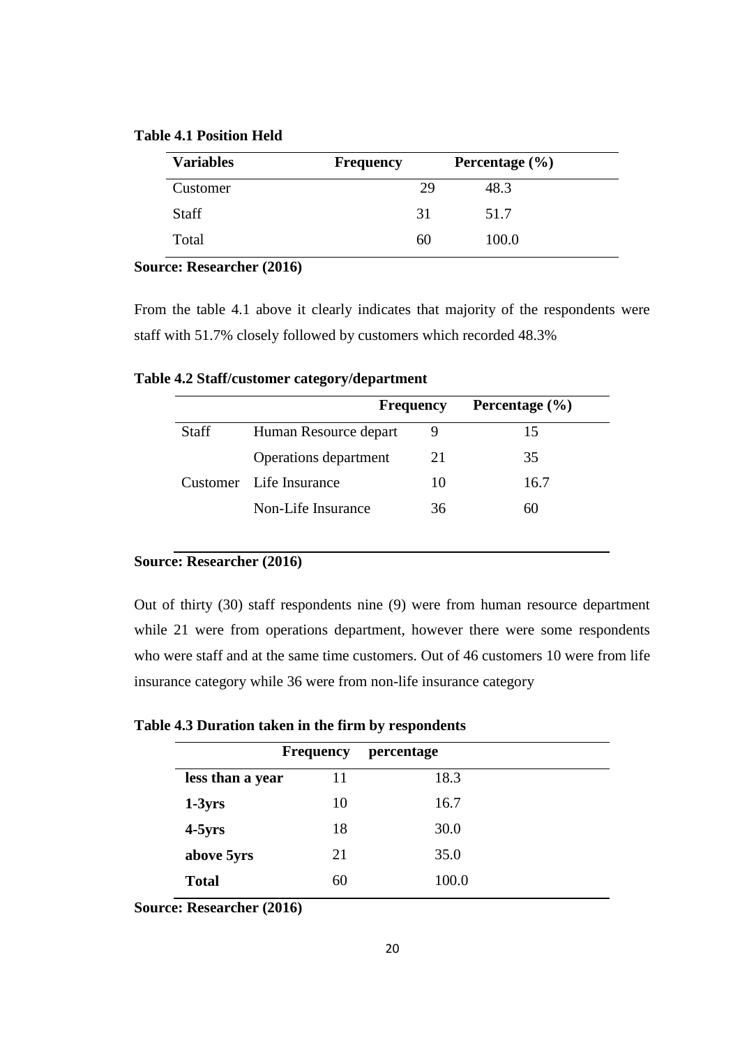<span id="page-29-0"></span>

|  | <b>Table 4.1 Position Held</b> |  |
|--|--------------------------------|--|
|--|--------------------------------|--|

| <b>Variables</b> | <b>Frequency</b> | Percentage $(\% )$ |  |
|------------------|------------------|--------------------|--|
| Customer         | 29               | 48.3               |  |
| <b>Staff</b>     | 31               | 51.7               |  |
| Total            | 60               | 100.0              |  |

**Source: Researcher (2016)**

From the table 4.1 above it clearly indicates that majority of the respondents were staff with 51.7% closely followed by customers which recorded 48.3%

|              | <b>Frequency</b>             |    | Percentage $(\% )$ |
|--------------|------------------------------|----|--------------------|
| <b>Staff</b> | Human Resource depart        |    | 15                 |
|              | <b>Operations</b> department | 21 | 35                 |
|              | Customer Life Insurance      | 10 | 16.7               |
|              | Non-Life Insurance           | 36 | 60                 |

<span id="page-29-1"></span>**Table 4.2 Staff/customer category/department**

#### **Source: Researcher (2016)**

Out of thirty (30) staff respondents nine (9) were from human resource department while 21 were from operations department, however there were some respondents who were staff and at the same time customers. Out of 46 customers 10 were from life insurance category while 36 were from non-life insurance category

<span id="page-29-2"></span>**Table 4.3 Duration taken in the firm by respondents**

|                  | <b>Frequency</b> | percentage |  |
|------------------|------------------|------------|--|
| less than a year | 11               | 18.3       |  |
| $1-3yrs$         | 10               | 16.7       |  |
| $4-5yrs$         | 18               | 30.0       |  |
| above 5yrs       | 21               | 35.0       |  |
| <b>Total</b>     | 60               | 100.0      |  |

**Source: Researcher (2016)**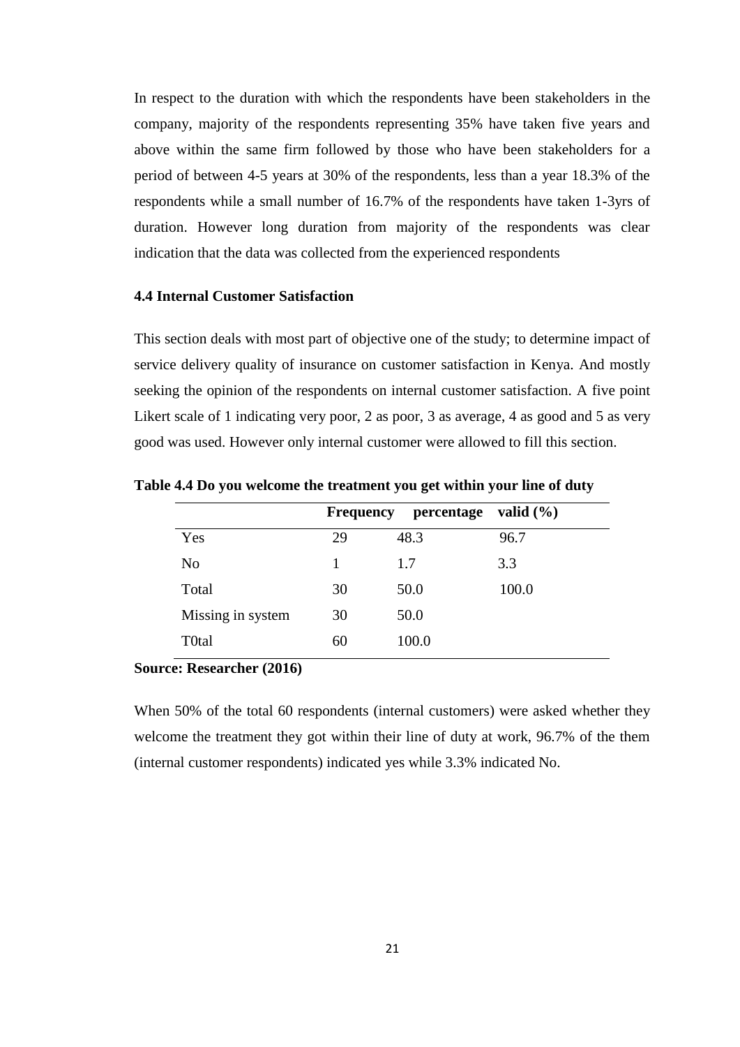In respect to the duration with which the respondents have been stakeholders in the company, majority of the respondents representing 35% have taken five years and above within the same firm followed by those who have been stakeholders for a period of between 4-5 years at 30% of the respondents, less than a year 18.3% of the respondents while a small number of 16.7% of the respondents have taken 1-3yrs of duration. However long duration from majority of the respondents was clear indication that the data was collected from the experienced respondents

## <span id="page-30-0"></span>**4.4 Internal Customer Satisfaction**

This section deals with most part of objective one of the study; to determine impact of service delivery quality of insurance on customer satisfaction in Kenya. And mostly seeking the opinion of the respondents on internal customer satisfaction. A five point Likert scale of 1 indicating very poor, 2 as poor, 3 as average, 4 as good and 5 as very good was used. However only internal customer were allowed to fill this section.

|                   | Frequency | percentage | valid $(\% )$ |
|-------------------|-----------|------------|---------------|
| Yes               | 29        | 48.3       | 96.7          |
| No                | 1         | 1.7        | 3.3           |
| Total             | 30        | 50.0       | 100.0         |
| Missing in system | 30        | 50.0       |               |
| T0tal             | 60        | 100.0      |               |

<span id="page-30-1"></span>**Table 4.4 Do you welcome the treatment you get within your line of duty**

#### **Source: Researcher (2016)**

When 50% of the total 60 respondents (internal customers) were asked whether they welcome the treatment they got within their line of duty at work, 96.7% of the them (internal customer respondents) indicated yes while 3.3% indicated No.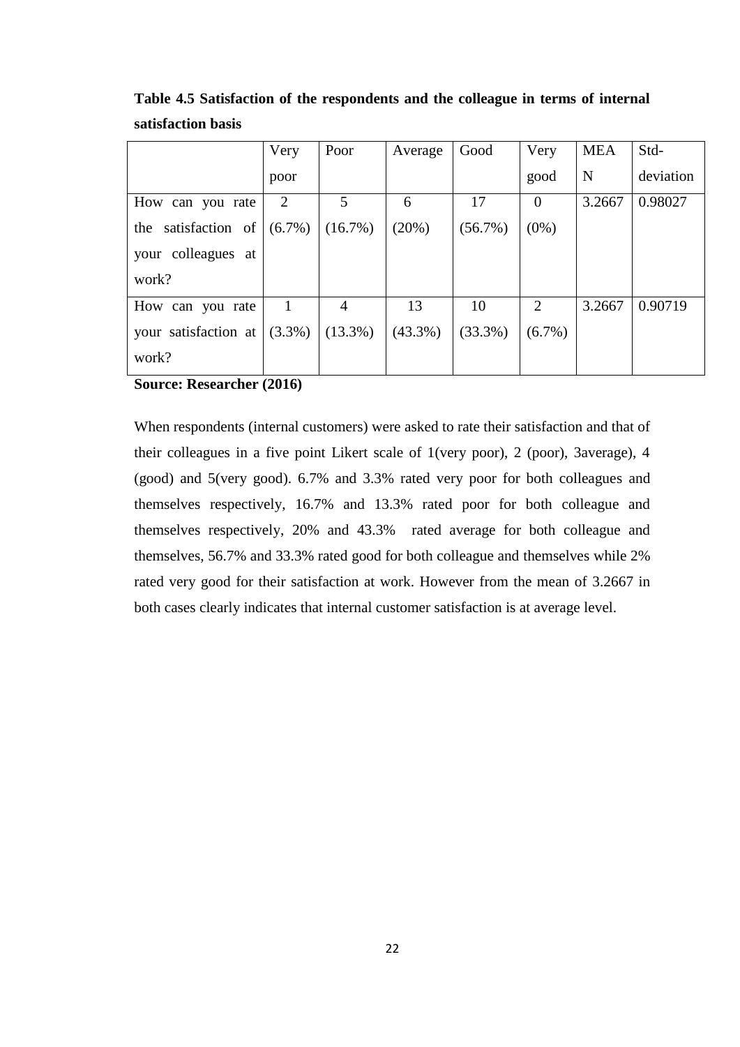|                        | Very           | Poor           | Average    | Good       | Very      | <b>MEA</b> | Std-      |
|------------------------|----------------|----------------|------------|------------|-----------|------------|-----------|
|                        | poor           |                |            |            | good      | N          | deviation |
| How can you rate       | $\overline{2}$ | 5              | 6          | 17         | $\theta$  | 3.2667     | 0.98027   |
| satisfaction of<br>the | $(6.7\%)$      | $(16.7\%)$     | (20%)      | $(56.7\%)$ | $(0\%)$   |            |           |
| colleagues at<br>your  |                |                |            |            |           |            |           |
| work?                  |                |                |            |            |           |            |           |
| How can you rate       |                | $\overline{4}$ | 13         | 10         | 2         | 3.2667     | 0.90719   |
| your satisfaction at   | $(3.3\%)$      | $(13.3\%)$     | $(43.3\%)$ | $(33.3\%)$ | $(6.7\%)$ |            |           |
| work?                  |                |                |            |            |           |            |           |

<span id="page-31-0"></span>**Table 4.5 Satisfaction of the respondents and the colleague in terms of internal satisfaction basis**

**Source: Researcher (2016)**

When respondents (internal customers) were asked to rate their satisfaction and that of their colleagues in a five point Likert scale of 1(very poor), 2 (poor), 3average), 4 (good) and 5(very good). 6.7% and 3.3% rated very poor for both colleagues and themselves respectively, 16.7% and 13.3% rated poor for both colleague and themselves respectively, 20% and 43.3% rated average for both colleague and themselves, 56.7% and 33.3% rated good for both colleague and themselves while 2% rated very good for their satisfaction at work. However from the mean of 3.2667 in both cases clearly indicates that internal customer satisfaction is at average level.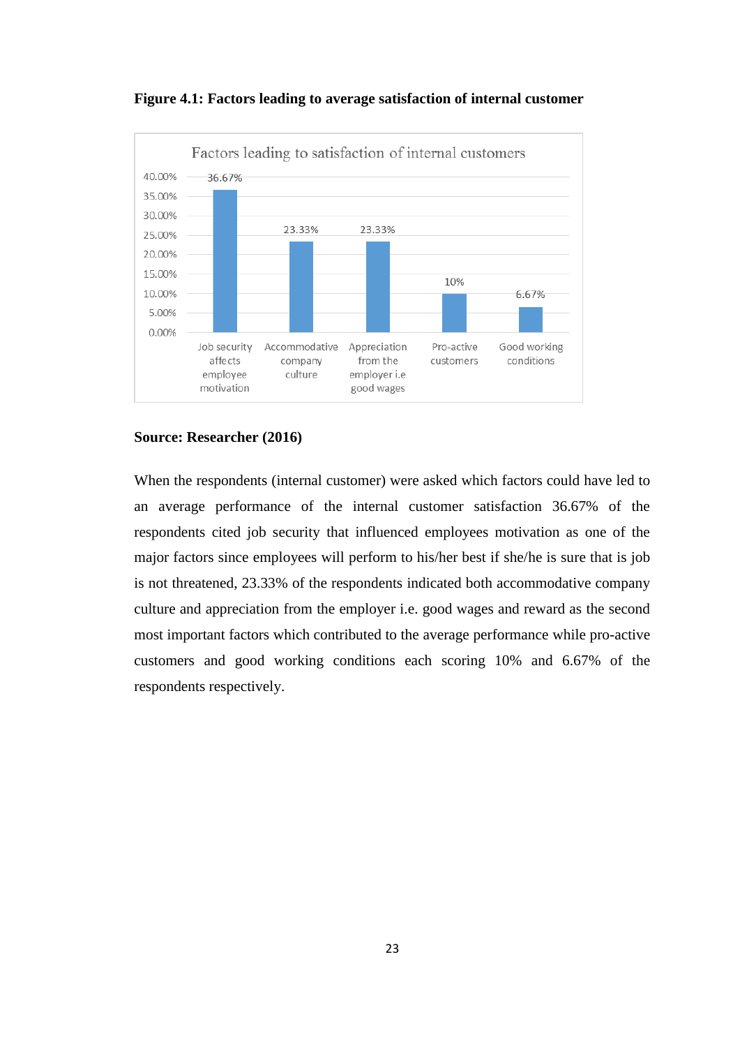<span id="page-32-0"></span>



#### **Source: Researcher (2016)**

When the respondents (internal customer) were asked which factors could have led to an average performance of the internal customer satisfaction 36.67% of the respondents cited job security that influenced employees motivation as one of the major factors since employees will perform to his/her best if she/he is sure that is job is not threatened, 23.33% of the respondents indicated both accommodative company culture and appreciation from the employer i.e. good wages and reward as the second most important factors which contributed to the average performance while pro-active customers and good working conditions each scoring 10% and 6.67% of the respondents respectively.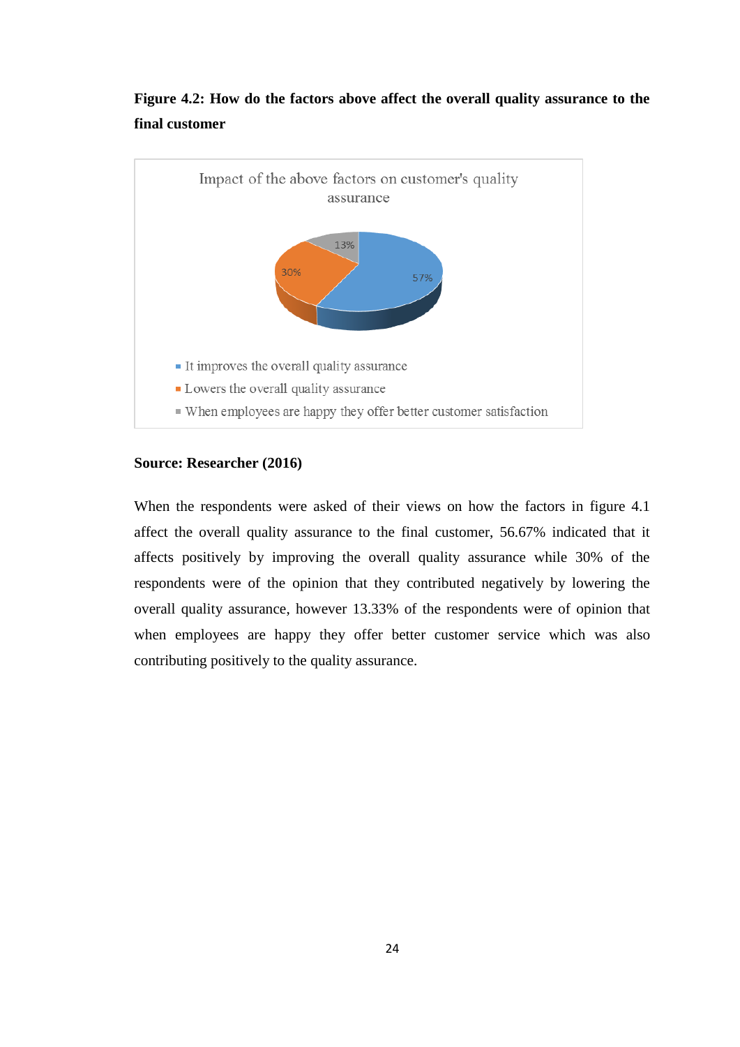

## <span id="page-33-1"></span>**Figure 4.2: How do the factors above affect the overall quality assurance to the final customer**

#### **Source: Researcher (2016)**

<span id="page-33-0"></span>When the respondents were asked of their views on how the factors in figure 4.1 affect the overall quality assurance to the final customer, 56.67% indicated that it affects positively by improving the overall quality assurance while 30% of the respondents were of the opinion that they contributed negatively by lowering the overall quality assurance, however 13.33% of the respondents were of opinion that when employees are happy they offer better customer service which was also contributing positively to the quality assurance.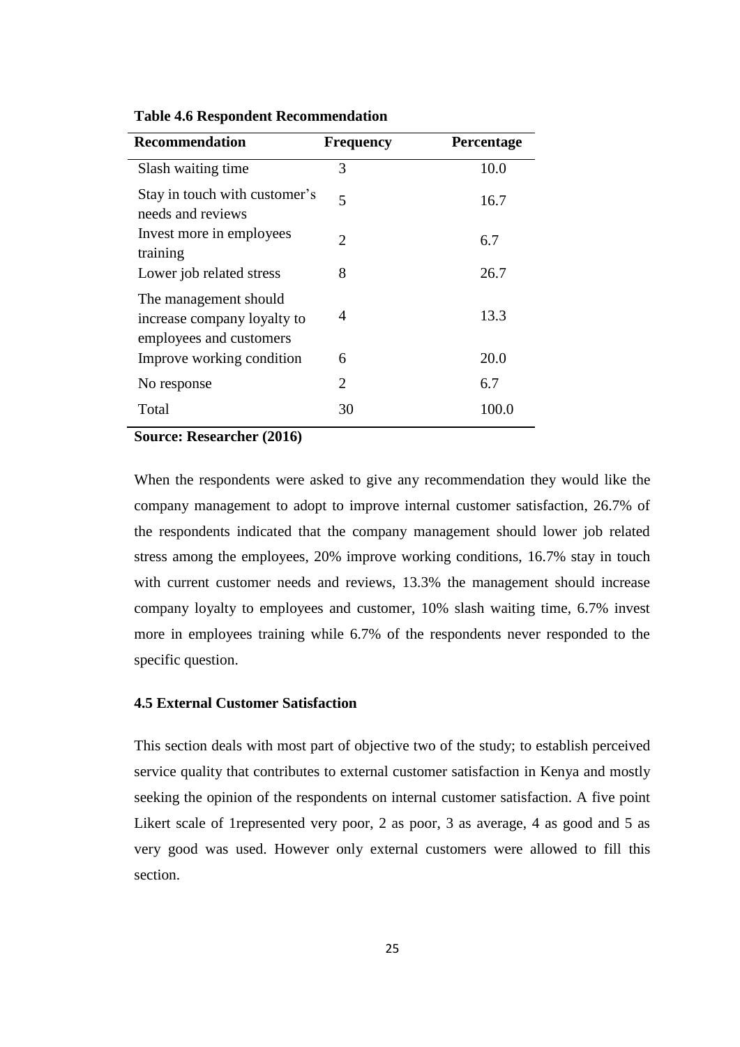| <b>Recommendation</b>                                                           | <b>Frequency</b>      | Percentage |
|---------------------------------------------------------------------------------|-----------------------|------------|
| Slash waiting time.                                                             | 3                     | 10.0       |
| Stay in touch with customer's<br>needs and reviews                              | 5                     | 16.7       |
| Invest more in employees<br>training                                            | $\mathcal{D}_{\cdot}$ | 6.7        |
| Lower job related stress                                                        | 8                     | 26.7       |
| The management should<br>increase company loyalty to<br>employees and customers | 4                     | 13.3       |
| Improve working condition                                                       | 6                     | 20.0       |
| No response                                                                     | 2                     | 6.7        |
| Total                                                                           | 30                    | 100.0      |

**Table 4.6 Respondent Recommendation**

**Source: Researcher (2016)**

When the respondents were asked to give any recommendation they would like the company management to adopt to improve internal customer satisfaction, 26.7% of the respondents indicated that the company management should lower job related stress among the employees, 20% improve working conditions, 16.7% stay in touch with current customer needs and reviews, 13.3% the management should increase company loyalty to employees and customer, 10% slash waiting time, 6.7% invest more in employees training while 6.7% of the respondents never responded to the specific question.

## <span id="page-34-0"></span>**4.5 External Customer Satisfaction**

This section deals with most part of objective two of the study; to establish perceived service quality that contributes to external customer satisfaction in Kenya and mostly seeking the opinion of the respondents on internal customer satisfaction. A five point Likert scale of 1represented very poor, 2 as poor, 3 as average, 4 as good and 5 as very good was used. However only external customers were allowed to fill this section.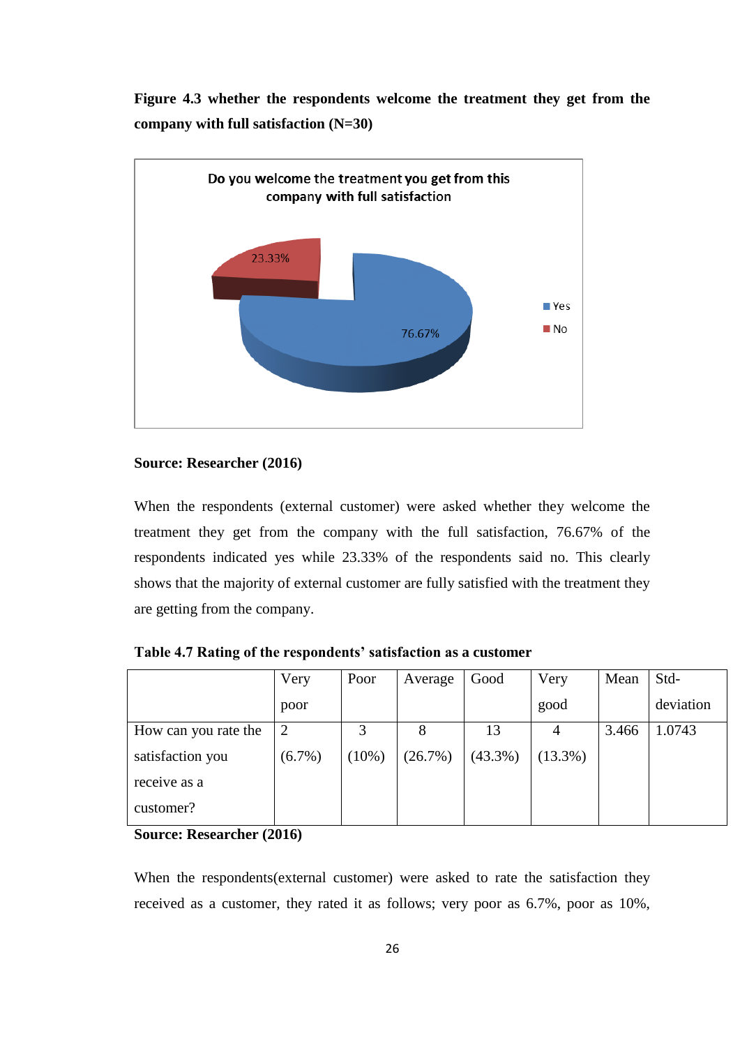<span id="page-35-1"></span>**Figure 4.3 whether the respondents welcome the treatment they get from the company with full satisfaction (N=30)**



## **Source: Researcher (2016)**

When the respondents (external customer) were asked whether they welcome the treatment they get from the company with the full satisfaction, 76.67% of the respondents indicated yes while 23.33% of the respondents said no. This clearly shows that the majority of external customer are fully satisfied with the treatment they are getting from the company.

|                      | Very      | Poor     | Average | Good       | Very       | Mean  | Std-      |
|----------------------|-----------|----------|---------|------------|------------|-------|-----------|
|                      | poor      |          |         |            | good       |       | deviation |
| How can you rate the | 2         | 3        | 8       | 13         | 4          | 3.466 | 1.0743    |
| satisfaction you     | $(6.7\%)$ | $(10\%)$ | (26.7%) | $(43.3\%)$ | $(13.3\%)$ |       |           |
| receive as a         |           |          |         |            |            |       |           |
| customer?            |           |          |         |            |            |       |           |

<span id="page-35-0"></span>**Table 4.7 Rating of the respondents' satisfaction as a customer**

**Source: Researcher (2016)**

When the respondents(external customer) were asked to rate the satisfaction they received as a customer, they rated it as follows; very poor as 6.7%, poor as 10%,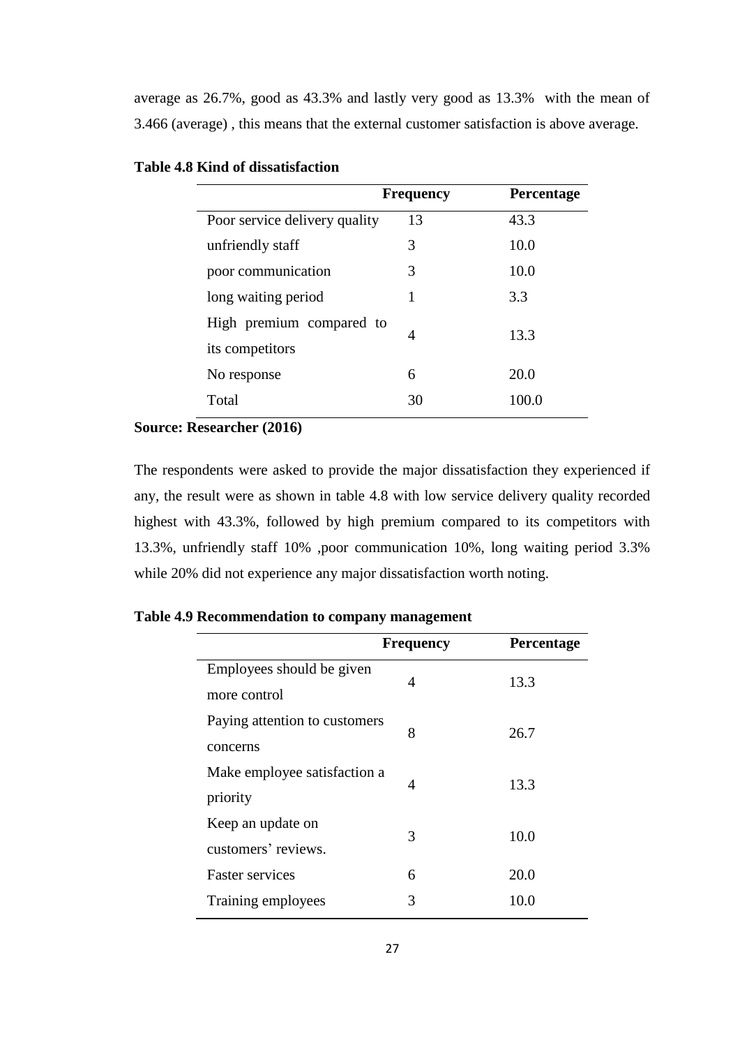average as 26.7%, good as 43.3% and lastly very good as 13.3% with the mean of 3.466 (average) , this means that the external customer satisfaction is above average.

|                               | <b>Frequency</b> | <b>Percentage</b> |
|-------------------------------|------------------|-------------------|
| Poor service delivery quality | 13               | 43.3              |
| unfriendly staff              | 3                | 10.0              |
| poor communication            | 3                | 10.0              |
| long waiting period           |                  | 3.3               |
| High premium compared to      | 4                | 13.3              |
| its competitors               |                  |                   |
| No response                   | 6                | 20.0              |
| Total                         | 30               | 100.0             |

## <span id="page-36-0"></span>**Table 4.8 Kind of dissatisfaction**

#### **Source: Researcher (2016)**

The respondents were asked to provide the major dissatisfaction they experienced if any, the result were as shown in table 4.8 with low service delivery quality recorded highest with 43.3%, followed by high premium compared to its competitors with 13.3%, unfriendly staff 10% ,poor communication 10%, long waiting period 3.3% while 20% did not experience any major dissatisfaction worth noting.

|                                           | <b>Frequency</b> | <b>Percentage</b> |
|-------------------------------------------|------------------|-------------------|
| Employees should be given<br>more control | 4                | 13.3              |
| Paying attention to customers<br>concerns | 8                | 26.7              |
| Make employee satisfaction a<br>priority  | $\overline{A}$   | 13.3              |
| Keep an update on<br>customers' reviews.  | 3                | 10.0              |
| <b>Faster services</b>                    | 6                | 20.0              |
| Training employees                        | 3                | 10.0              |

<span id="page-36-1"></span>**Table 4.9 Recommendation to company management**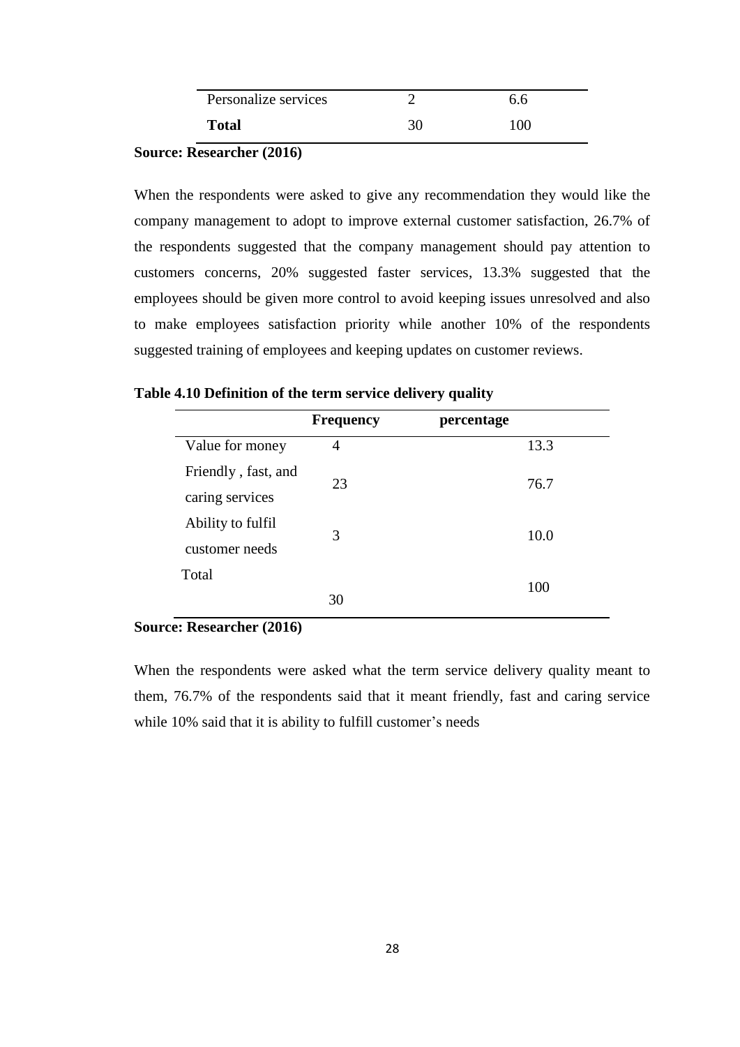| Personalize services | ნ.ნ   |
|----------------------|-------|
| <b>Total</b>         | 1 O C |

## **Source: Researcher (2016)**

When the respondents were asked to give any recommendation they would like the company management to adopt to improve external customer satisfaction, 26.7% of the respondents suggested that the company management should pay attention to customers concerns, 20% suggested faster services, 13.3% suggested that the employees should be given more control to avoid keeping issues unresolved and also to make employees satisfaction priority while another 10% of the respondents suggested training of employees and keeping updates on customer reviews.

## <span id="page-37-0"></span>**Table 4.10 Definition of the term service delivery quality**

|                                        | <b>Frequency</b> | percentage |  |
|----------------------------------------|------------------|------------|--|
| Value for money                        | 4                | 13.3       |  |
| Friendly, fast, and<br>caring services | 23               | 76.7       |  |
| Ability to fulfil<br>customer needs    | 3                | 10.0       |  |
| Total                                  | 30               | 100        |  |

## **Source: Researcher (2016)**

When the respondents were asked what the term service delivery quality meant to them, 76.7% of the respondents said that it meant friendly, fast and caring service while 10% said that it is ability to fulfill customer's needs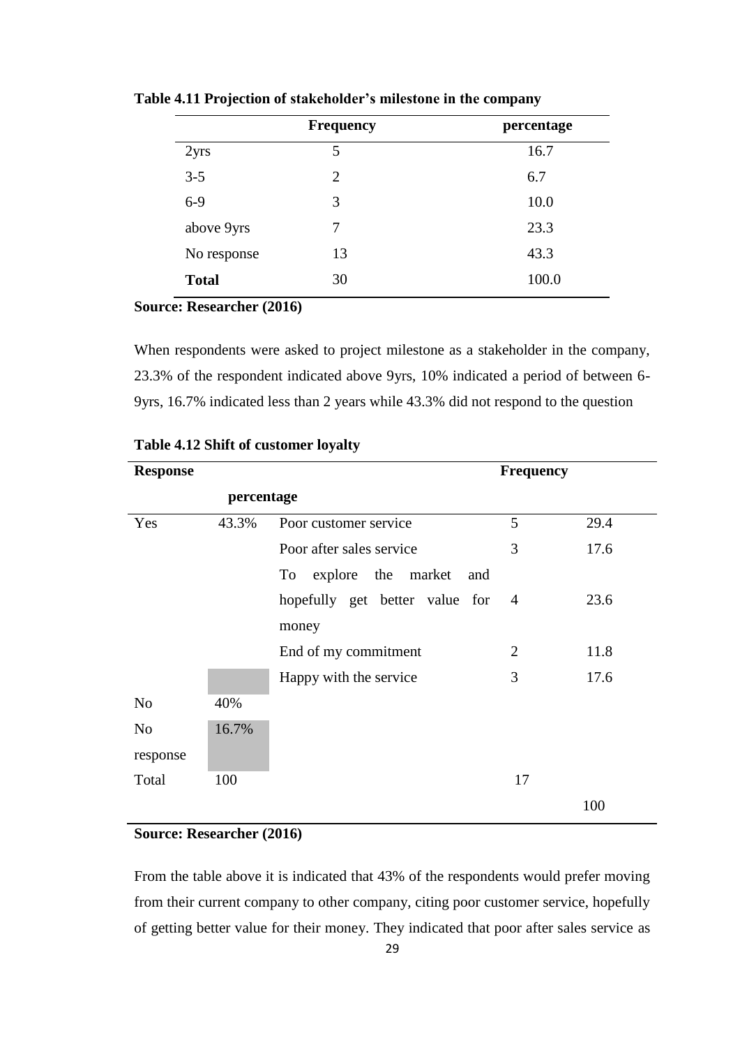|              | <b>Frequency</b> | percentage |
|--------------|------------------|------------|
| 2yrs         | 5                | 16.7       |
| $3 - 5$      | 2                | 6.7        |
| $6-9$        | 3                | 10.0       |
| above 9yrs   | 7                | 23.3       |
| No response  | 13               | 43.3       |
| <b>Total</b> | 30               | 100.0      |

<span id="page-38-0"></span>**Table 4.11 Projection of stakeholder's milestone in the company**

#### **Source: Researcher (2016)**

When respondents were asked to project milestone as a stakeholder in the company, 23.3% of the respondent indicated above 9yrs, 10% indicated a period of between 6- 9yrs, 16.7% indicated less than 2 years while 43.3% did not respond to the question

| <b>Response</b> |            |                                 | <b>Frequency</b> |      |
|-----------------|------------|---------------------------------|------------------|------|
|                 | percentage |                                 |                  |      |
| Yes             | 43.3%      | Poor customer service           | 5                | 29.4 |
|                 |            | Poor after sales service        | 3                | 17.6 |
|                 |            | explore the market<br>To<br>and |                  |      |
|                 |            | hopefully get better value for  | $\overline{4}$   | 23.6 |
|                 |            | money                           |                  |      |
|                 |            | End of my commitment            | 2                | 11.8 |
|                 |            | Happy with the service          | 3                | 17.6 |
| N <sub>o</sub>  | 40%        |                                 |                  |      |
| N <sub>o</sub>  | 16.7%      |                                 |                  |      |
| response        |            |                                 |                  |      |
| Total           | 100        |                                 | 17               |      |
|                 |            |                                 |                  | 100  |

## <span id="page-38-1"></span>**Table 4.12 Shift of customer loyalty**

## **Source: Researcher (2016)**

From the table above it is indicated that 43% of the respondents would prefer moving from their current company to other company, citing poor customer service, hopefully of getting better value for their money. They indicated that poor after sales service as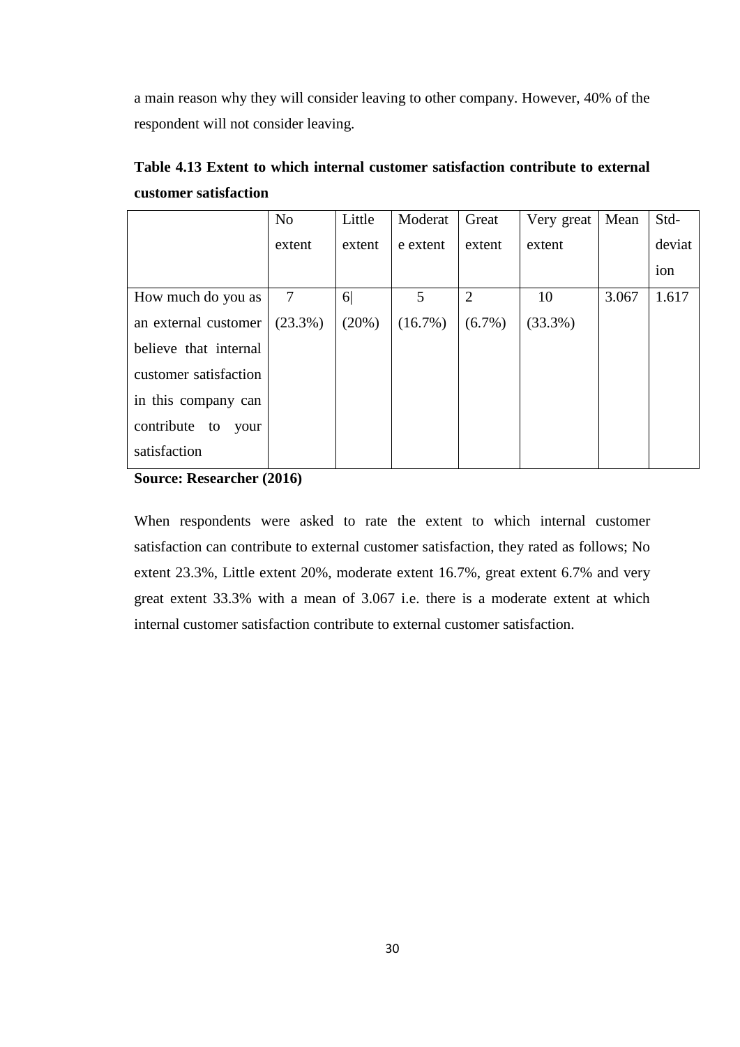a main reason why they will consider leaving to other company. However, 40% of the respondent will not consider leaving.

|                          | N <sub>o</sub> | Little         | Moderat    | Great          | Very great | Mean  | Std-   |
|--------------------------|----------------|----------------|------------|----------------|------------|-------|--------|
|                          | extent         | extent         | e extent   | extent         | extent     |       | deviat |
|                          |                |                |            |                |            |       | ion    |
| How much do you as       | 7              | 6 <sup>1</sup> | 5          | $\overline{2}$ | 10         | 3.067 | 1.617  |
| an external customer     | $(23.3\%)$     | (20%)          | $(16.7\%)$ | $(6.7\%)$      | $(33.3\%)$ |       |        |
| believe that internal    |                |                |            |                |            |       |        |
| customer satisfaction    |                |                |            |                |            |       |        |
| in this company can      |                |                |            |                |            |       |        |
| contribute<br>to<br>your |                |                |            |                |            |       |        |
| satisfaction             |                |                |            |                |            |       |        |

<span id="page-39-0"></span>**Table 4.13 Extent to which internal customer satisfaction contribute to external customer satisfaction**

**Source: Researcher (2016)**

<span id="page-39-1"></span>When respondents were asked to rate the extent to which internal customer satisfaction can contribute to external customer satisfaction, they rated as follows; No extent 23.3%, Little extent 20%, moderate extent 16.7%, great extent 6.7% and very great extent 33.3% with a mean of 3.067 i.e. there is a moderate extent at which internal customer satisfaction contribute to external customer satisfaction.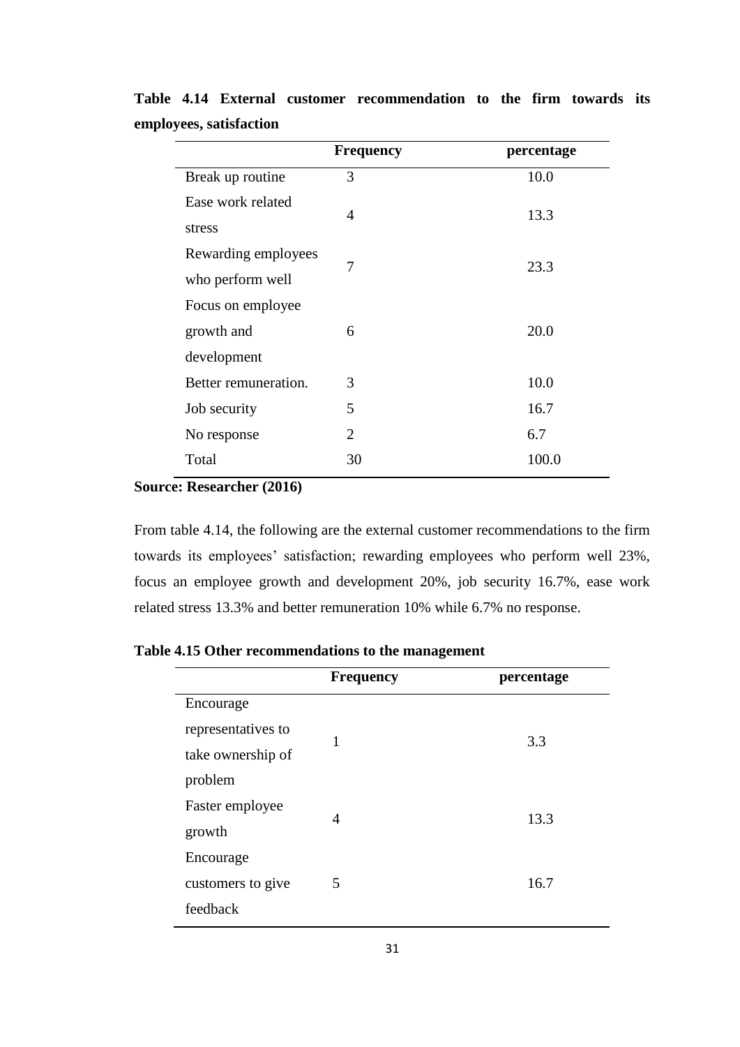|                                                | <b>Frequency</b> | percentage |
|------------------------------------------------|------------------|------------|
| Break up routine                               | 3                | 10.0       |
| Ease work related<br>stress                    | $\overline{4}$   | 13.3       |
| Rewarding employees<br>who perform well        | 7                | 23.3       |
| Focus on employee<br>growth and<br>development | 6                | 20.0       |
| Better remuneration.                           | 3                | 10.0       |
| Job security                                   | 5                | 16.7       |
| No response                                    | $\mathfrak{D}$   | 6.7        |
| Total                                          | 30               | 100.0      |
|                                                |                  |            |

**Table 4.14 External customer recommendation to the firm towards its employees, satisfaction** 

**Source: Researcher (2016)**

From table 4.14, the following are the external customer recommendations to the firm towards its employees' satisfaction; rewarding employees who perform well 23%, focus an employee growth and development 20%, job security 16.7%, ease work related stress 13.3% and better remuneration 10% while 6.7% no response.

|                    | <b>Frequency</b> | percentage |
|--------------------|------------------|------------|
| Encourage          |                  |            |
| representatives to | 1                | 3.3        |
| take ownership of  |                  |            |
| problem            |                  |            |
| Faster employee    | 4                | 13.3       |
| growth             |                  |            |
| Encourage          |                  |            |
| customers to give  | 5                | 16.7       |
| feedback           |                  |            |

<span id="page-40-0"></span>**Table 4.15 Other recommendations to the management**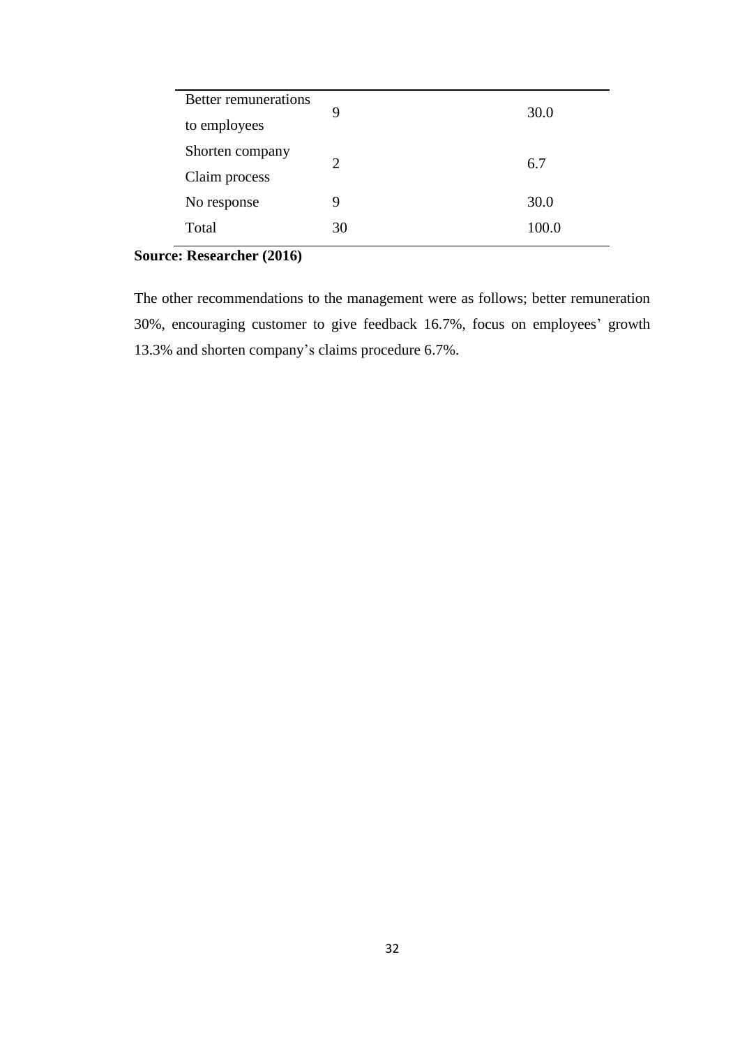| <b>Better remunerations</b> | 9  | 30.0  |
|-----------------------------|----|-------|
| to employees                |    |       |
| Shorten company             |    |       |
| Claim process               | 2  | 6.7   |
| No response                 | 9  | 30.0  |
| Total                       | 30 | 100.0 |

## **Source: Researcher (2016)**

The other recommendations to the management were as follows; better remuneration 30%, encouraging customer to give feedback 16.7%, focus on employees' growth 13.3% and shorten company's claims procedure 6.7%.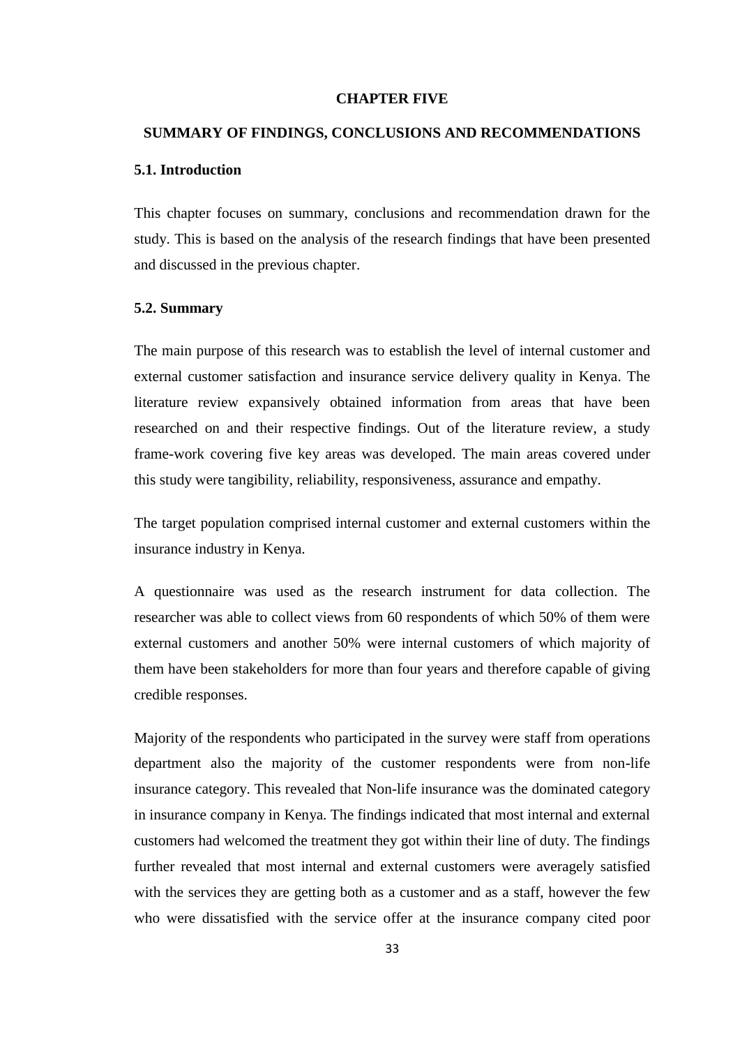#### **CHAPTER FIVE**

## <span id="page-42-1"></span><span id="page-42-0"></span>**SUMMARY OF FINDINGS, CONCLUSIONS AND RECOMMENDATIONS**

## <span id="page-42-2"></span>**5.1. Introduction**

This chapter focuses on summary, conclusions and recommendation drawn for the study. This is based on the analysis of the research findings that have been presented and discussed in the previous chapter.

### <span id="page-42-3"></span>**5.2. Summary**

The main purpose of this research was to establish the level of internal customer and external customer satisfaction and insurance service delivery quality in Kenya. The literature review expansively obtained information from areas that have been researched on and their respective findings. Out of the literature review, a study frame-work covering five key areas was developed. The main areas covered under this study were tangibility, reliability, responsiveness, assurance and empathy.

The target population comprised internal customer and external customers within the insurance industry in Kenya.

A questionnaire was used as the research instrument for data collection. The researcher was able to collect views from 60 respondents of which 50% of them were external customers and another 50% were internal customers of which majority of them have been stakeholders for more than four years and therefore capable of giving credible responses.

Majority of the respondents who participated in the survey were staff from operations department also the majority of the customer respondents were from non-life insurance category. This revealed that Non-life insurance was the dominated category in insurance company in Kenya. The findings indicated that most internal and external customers had welcomed the treatment they got within their line of duty. The findings further revealed that most internal and external customers were averagely satisfied with the services they are getting both as a customer and as a staff, however the few who were dissatisfied with the service offer at the insurance company cited poor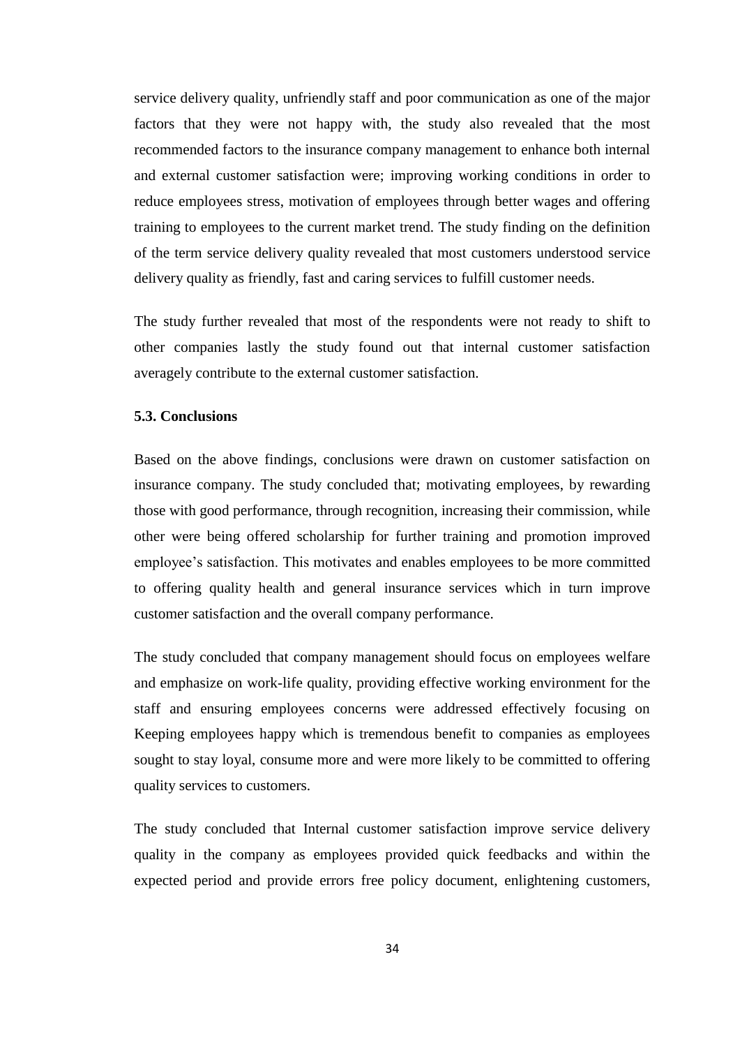service delivery quality, unfriendly staff and poor communication as one of the major factors that they were not happy with, the study also revealed that the most recommended factors to the insurance company management to enhance both internal and external customer satisfaction were; improving working conditions in order to reduce employees stress, motivation of employees through better wages and offering training to employees to the current market trend. The study finding on the definition of the term service delivery quality revealed that most customers understood service delivery quality as friendly, fast and caring services to fulfill customer needs.

The study further revealed that most of the respondents were not ready to shift to other companies lastly the study found out that internal customer satisfaction averagely contribute to the external customer satisfaction.

## <span id="page-43-0"></span>**5.3. Conclusions**

Based on the above findings, conclusions were drawn on customer satisfaction on insurance company. The study concluded that; motivating employees, by rewarding those with good performance, through recognition, increasing their commission, while other were being offered scholarship for further training and promotion improved employee's satisfaction. This motivates and enables employees to be more committed to offering quality health and general insurance services which in turn improve customer satisfaction and the overall company performance.

The study concluded that company management should focus on employees welfare and emphasize on work-life quality, providing effective working environment for the staff and ensuring employees concerns were addressed effectively focusing on Keeping employees happy which is tremendous benefit to companies as employees sought to stay loyal, consume more and were more likely to be committed to offering quality services to customers.

The study concluded that Internal customer satisfaction improve service delivery quality in the company as employees provided quick feedbacks and within the expected period and provide errors free policy document, enlightening customers,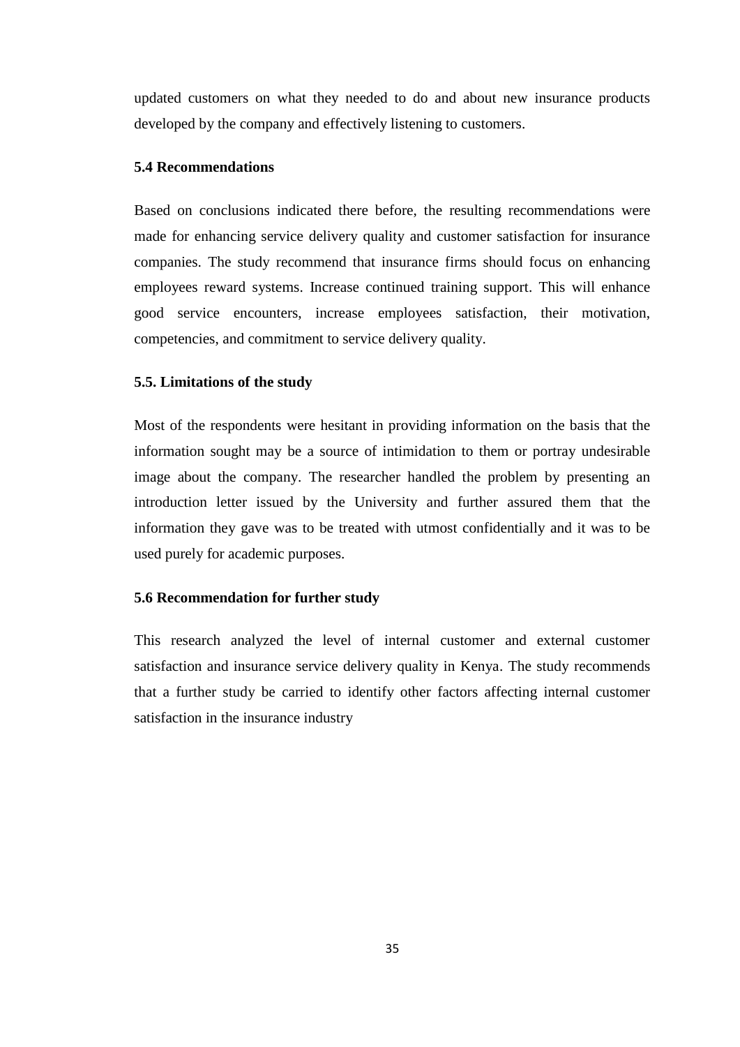updated customers on what they needed to do and about new insurance products developed by the company and effectively listening to customers.

#### <span id="page-44-0"></span>**5.4 Recommendations**

Based on conclusions indicated there before, the resulting recommendations were made for enhancing service delivery quality and customer satisfaction for insurance companies. The study recommend that insurance firms should focus on enhancing employees reward systems. Increase continued training support. This will enhance good service encounters, increase employees satisfaction, their motivation, competencies, and commitment to service delivery quality.

#### <span id="page-44-1"></span>**5.5. Limitations of the study**

Most of the respondents were hesitant in providing information on the basis that the information sought may be a source of intimidation to them or portray undesirable image about the company. The researcher handled the problem by presenting an introduction letter issued by the University and further assured them that the information they gave was to be treated with utmost confidentially and it was to be used purely for academic purposes.

## <span id="page-44-2"></span>**5.6 Recommendation for further study**

This research analyzed the level of internal customer and external customer satisfaction and insurance service delivery quality in Kenya. The study recommends that a further study be carried to identify other factors affecting internal customer satisfaction in the insurance industry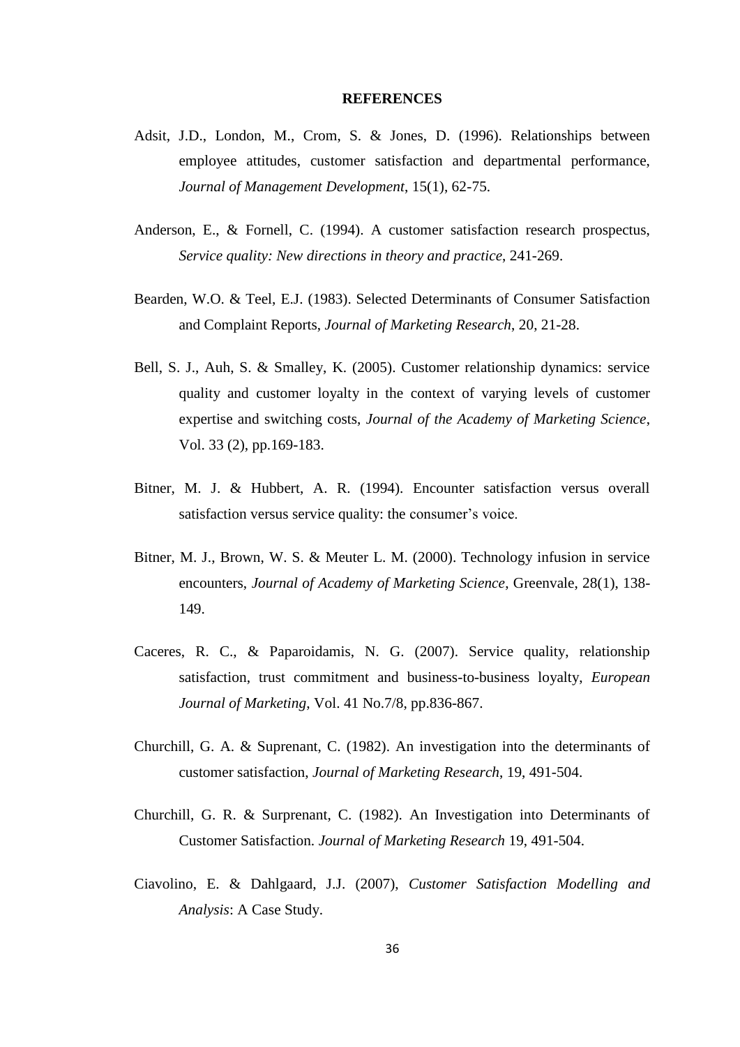#### **REFERENCES**

- <span id="page-45-0"></span>Adsit, J.D., London, M., Crom, S. & Jones, D. (1996). Relationships between employee attitudes, customer satisfaction and departmental performance, *Journal of Management Development*, 15(1), 62-75.
- Anderson, E., & Fornell, C. (1994). A customer satisfaction research prospectus, *Service quality: New directions in theory and practice*, 241-269.
- Bearden, W.O. & Teel, E.J. (1983). Selected Determinants of Consumer Satisfaction and Complaint Reports, *Journal of Marketing Research*, 20, 21-28.
- Bell, S. J., Auh, S. & Smalley, K. (2005). Customer relationship dynamics: service quality and customer loyalty in the context of varying levels of customer expertise and switching costs, *Journal of the Academy of Marketing Science*, Vol. 33 (2), pp.169-183.
- Bitner, M. J. & Hubbert, A. R. (1994). Encounter satisfaction versus overall satisfaction versus service quality: the consumer's voice.
- Bitner, M. J., Brown, W. S. & Meuter L. M. (2000). Technology infusion in service encounters, *Journal of Academy of Marketing Science*, Greenvale, 28(1), 138- 149.
- Caceres, R. C., & Paparoidamis, N. G. (2007). Service quality, relationship satisfaction, trust commitment and business-to-business loyalty, *European Journal of Marketing*, Vol. 41 No.7/8, pp.836-867.
- Churchill, G. A. & Suprenant, C. (1982). An investigation into the determinants of customer satisfaction, *Journal of Marketing Research*, 19, 491-504.
- Churchill, G. R. & Surprenant, C. (1982). An Investigation into Determinants of Customer Satisfaction. *Journal of Marketing Research* 19, 491-504.
- Ciavolino, E. & Dahlgaard, J.J. (2007), *Customer Satisfaction Modelling and Analysis*: A Case Study.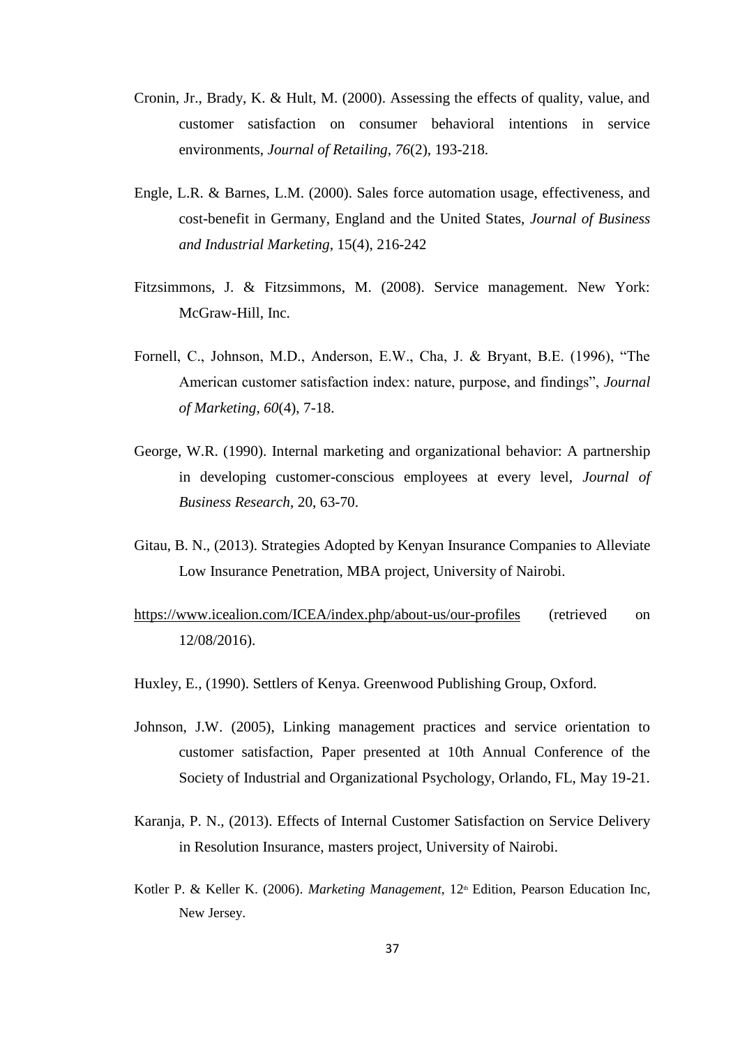- Cronin, Jr., Brady, K. & Hult, M. (2000). Assessing the effects of quality, value, and customer satisfaction on consumer behavioral intentions in service environments, *Journal of Retailing, 76*(2), 193-218.
- Engle, L.R. & Barnes, L.M. (2000). Sales force automation usage, effectiveness, and cost-benefit in Germany, England and the United States, *Journal of Business and Industrial Marketing*, 15(4), 216-242
- Fitzsimmons, J. & Fitzsimmons, M. (2008). Service management. New York: McGraw-Hill, Inc.
- Fornell, C., Johnson, M.D., Anderson, E.W., Cha, J. & Bryant, B.E. (1996), "The American customer satisfaction index: nature, purpose, and findings", *Journal of Marketing, 60*(4), 7-18.
- George, W.R. (1990). Internal marketing and organizational behavior: A partnership in developing customer-conscious employees at every level, *Journal of Business Research*, 20, 63-70.
- Gitau, B. N., (2013). Strategies Adopted by Kenyan Insurance Companies to Alleviate Low Insurance Penetration, MBA project, University of Nairobi.
- <https://www.icealion.com/ICEA/index.php/about-us/our-profiles> (retrieved on 12/08/2016).
- Huxley, E., (1990). Settlers of Kenya. Greenwood Publishing Group, Oxford.
- Johnson, J.W. (2005), Linking management practices and service orientation to customer satisfaction, Paper presented at 10th Annual Conference of the Society of Industrial and Organizational Psychology, Orlando, FL, May 19-21.
- Karanja, P. N., (2013). Effects of Internal Customer Satisfaction on Service Delivery in Resolution Insurance, masters project, University of Nairobi.
- Kotler P. & Keller K. (2006). *Marketing Management*, 12<sup>th</sup> Edition, Pearson Education Inc, New Jersey.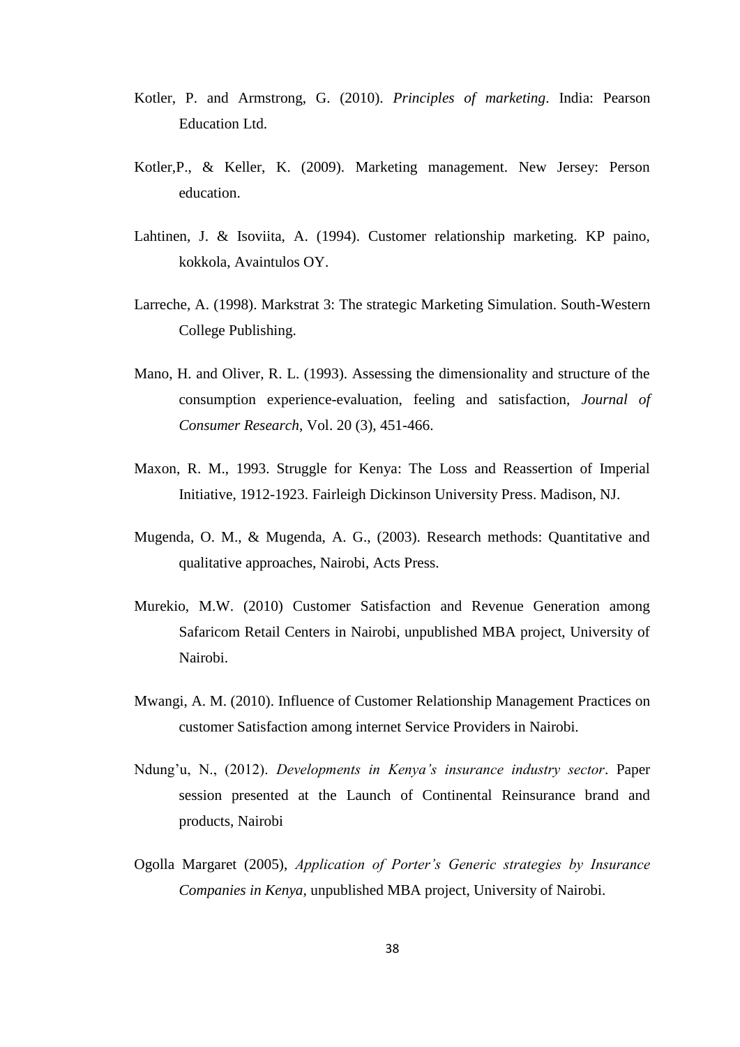- Kotler, P. and Armstrong, G. (2010). *Principles of marketing*. India: Pearson Education Ltd.
- Kotler,P., & Keller, K. (2009). Marketing management. New Jersey: Person education.
- Lahtinen, J. & Isoviita, A. (1994). Customer relationship marketing. KP paino, kokkola, Avaintulos OY.
- Larreche, A. (1998). Markstrat 3: The strategic Marketing Simulation. South-Western College Publishing.
- Mano, H. and Oliver, R. L. (1993). Assessing the dimensionality and structure of the consumption experience-evaluation, feeling and satisfaction, *Journal of Consumer Research*, Vol. 20 (3), 451-466.
- Maxon, R. M., 1993. Struggle for Kenya: The Loss and Reassertion of Imperial Initiative, 1912-1923. Fairleigh Dickinson University Press. Madison, NJ.
- Mugenda, O. M., & Mugenda, A. G., (2003). Research methods: Quantitative and qualitative approaches, Nairobi, Acts Press.
- Murekio, M.W. (2010) Customer Satisfaction and Revenue Generation among Safaricom Retail Centers in Nairobi, unpublished MBA project, University of Nairobi.
- Mwangi, A. M. (2010). Influence of Customer Relationship Management Practices on customer Satisfaction among internet Service Providers in Nairobi.
- Ndung'u, N., (2012). *Developments in Kenya's insurance industry sector*. Paper session presented at the Launch of Continental Reinsurance brand and products, Nairobi
- Ogolla Margaret (2005), *Application of Porter's Generic strategies by Insurance Companies in Kenya,* unpublished MBA project, University of Nairobi.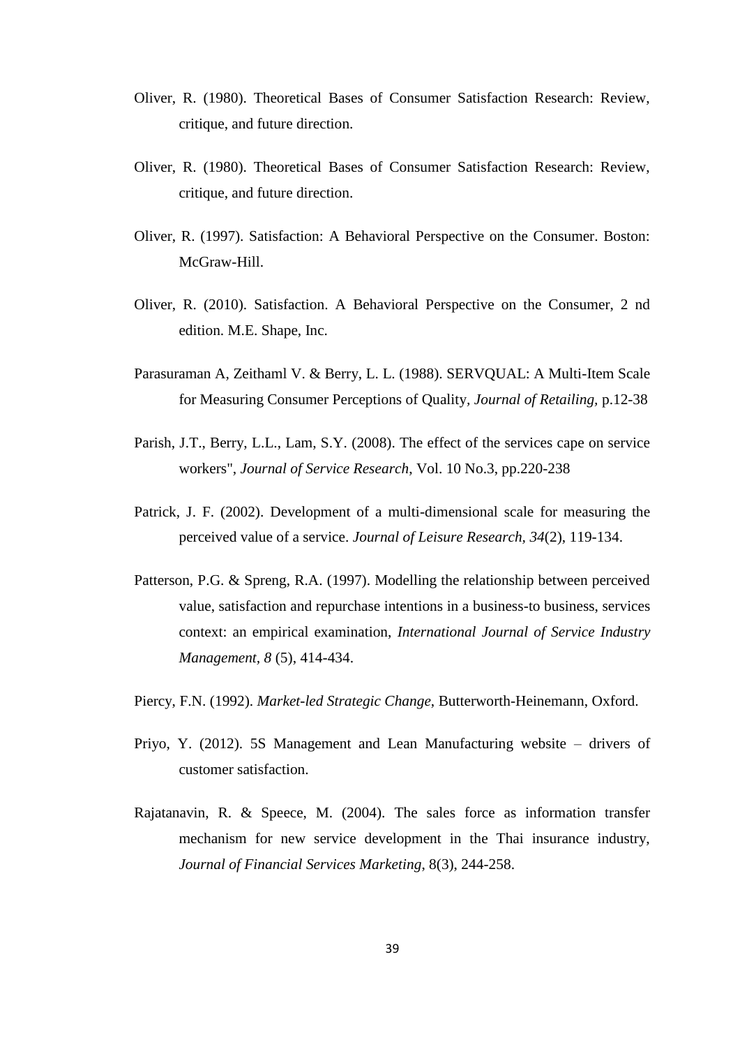- Oliver, R. (1980). Theoretical Bases of Consumer Satisfaction Research: Review, critique, and future direction.
- Oliver, R. (1980). Theoretical Bases of Consumer Satisfaction Research: Review, critique, and future direction.
- Oliver, R. (1997). Satisfaction: A Behavioral Perspective on the Consumer. Boston: McGraw-Hill.
- Oliver, R. (2010). Satisfaction. A Behavioral Perspective on the Consumer, 2 nd edition. M.E. Shape, Inc.
- Parasuraman A, Zeithaml V. & Berry, L. L. (1988). SERVQUAL: A Multi-Item Scale for Measuring Consumer Perceptions of Quality*, Journal of Retailing,* p.12-38
- Parish, J.T., Berry, L.L., Lam, S.Y. (2008). The effect of the services cape on service workers", *Journal of Service Research*, Vol. 10 No.3, pp.220-238
- Patrick, J. F. (2002). Development of a multi-dimensional scale for measuring the perceived value of a service. *Journal of Leisure Research, 34*(2), 119-134.
- Patterson, P.G. & Spreng, R.A. (1997). Modelling the relationship between perceived value, satisfaction and repurchase intentions in a business-to business, services context: an empirical examination, *International Journal of Service Industry Management, 8* (5), 414-434.
- Piercy, F.N. (1992). *Market-led Strategic Change*, Butterworth-Heinemann, Oxford.
- Priyo, Y. (2012). 5S Management and Lean Manufacturing website drivers of customer satisfaction.
- Rajatanavin, R. & Speece, M. (2004). The sales force as information transfer mechanism for new service development in the Thai insurance industry, *Journal of Financial Services Marketing*, 8(3), 244-258.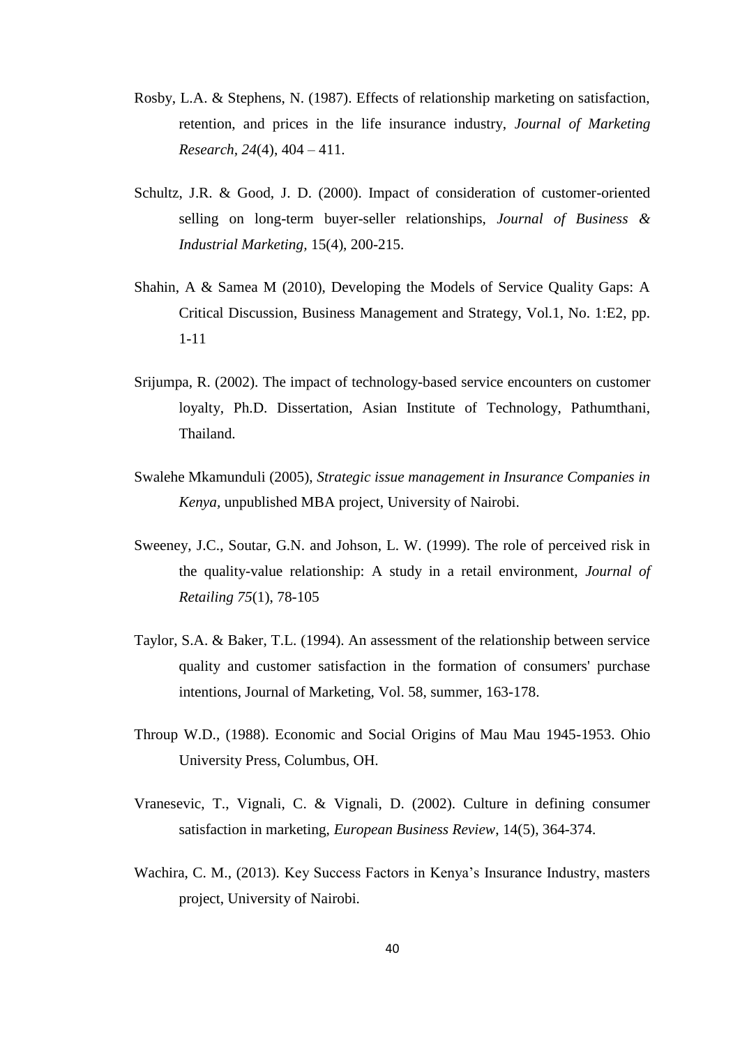- Rosby, L.A. & Stephens, N. (1987). Effects of relationship marketing on satisfaction, retention, and prices in the life insurance industry, *Journal of Marketing Research, 24*(4), 404 – 411.
- Schultz, J.R. & Good, J. D. (2000). Impact of consideration of customer-oriented selling on long-term buyer-seller relationships, *Journal of Business & Industrial Marketing,* 15(4), 200-215.
- Shahin, A & Samea M (2010), Developing the Models of Service Quality Gaps: A Critical Discussion, Business Management and Strategy, Vol.1, No. 1:E2, pp. 1-11
- Srijumpa, R. (2002). The impact of technology-based service encounters on customer loyalty, Ph.D. Dissertation, Asian Institute of Technology, Pathumthani, Thailand.
- Swalehe Mkamunduli (2005), *Strategic issue management in Insurance Companies in Kenya,* unpublished MBA project, University of Nairobi.
- Sweeney, J.C., Soutar, G.N. and Johson, L. W. (1999). The role of perceived risk in the quality-value relationship: A study in a retail environment, *Journal of Retailing 75*(1), 78-105
- Taylor, S.A. & Baker, T.L. (1994). An assessment of the relationship between service quality and customer satisfaction in the formation of consumers' purchase intentions, Journal of Marketing, Vol. 58, summer, 163-178.
- Throup W.D., (1988). Economic and Social Origins of Mau Mau 1945-1953. Ohio University Press, Columbus, OH.
- Vranesevic, T., Vignali, C. & Vignali, D. (2002). Culture in defining consumer satisfaction in marketing, *European Business Review*, 14(5), 364-374.
- Wachira, C. M., (2013). Key Success Factors in Kenya's Insurance Industry, masters project, University of Nairobi.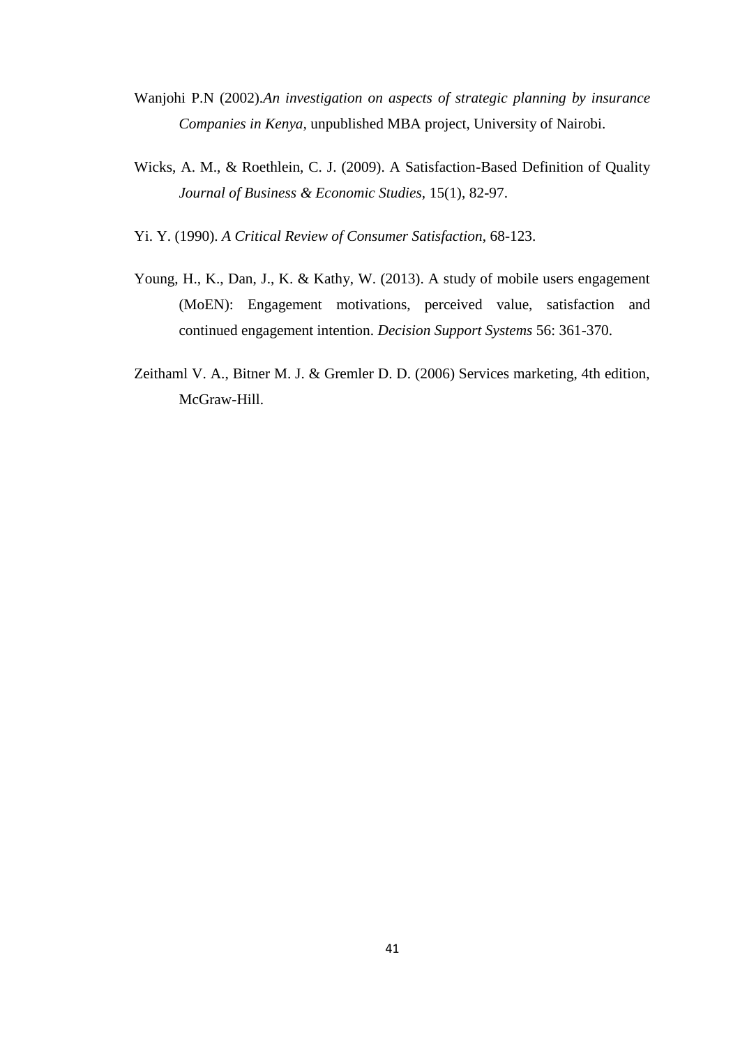- Wanjohi P.N (2002).*An investigation on aspects of strategic planning by insurance Companies in Kenya,* unpublished MBA project, University of Nairobi.
- Wicks, A. M., & Roethlein, C. J. (2009). A Satisfaction-Based Definition of Quality *Journal of Business & Economic Studies,* 15(1), 82-97.
- Yi. Y. (1990). *A Critical Review of Consumer Satisfaction*, 68-123.
- Young, H., K., Dan, J., K. & Kathy, W. (2013). A study of mobile users engagement (MoEN): Engagement motivations, perceived value, satisfaction and continued engagement intention. *Decision Support Systems* 56: 361-370.
- Zeithaml V. A., Bitner M. J. & Gremler D. D. (2006) Services marketing, 4th edition, McGraw-Hill.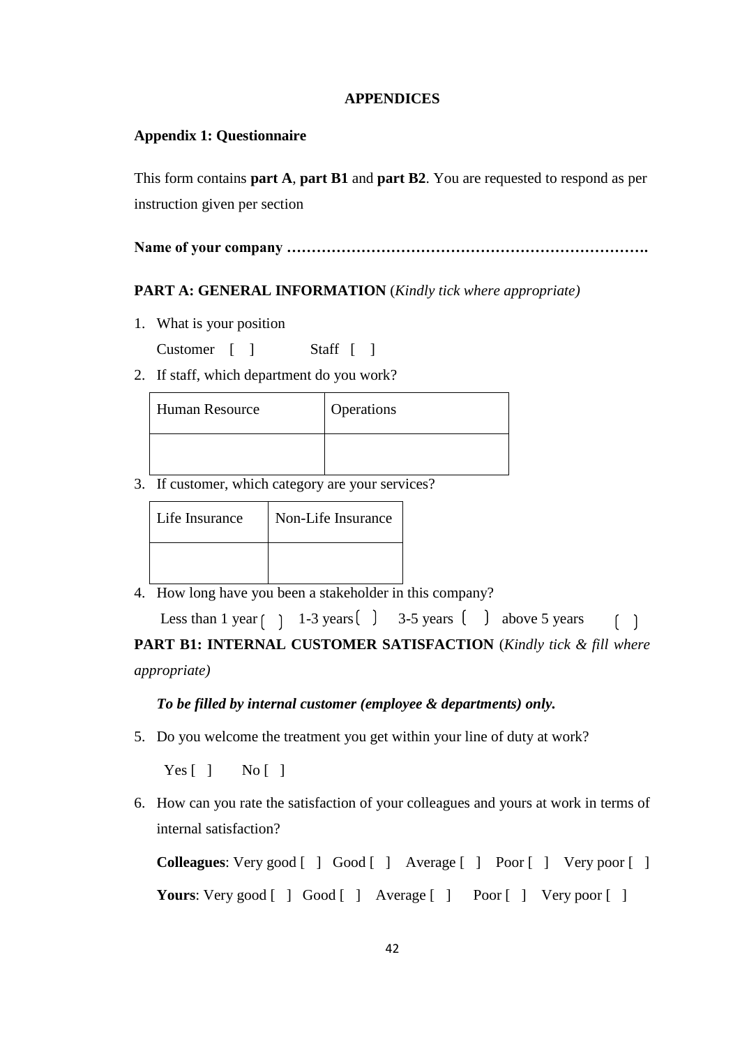## **APPENDICES**

## <span id="page-51-0"></span>**Appendix 1: Questionnaire**

This form contains **part A**, **part B1** and **part B2**. You are requested to respond as per instruction given per section

**Name of your company ……………………………………………………………….**

## **PART A: GENERAL INFORMATION** (*Kindly tick where appropriate)*

1. What is your position

Customer [ ] Staff [ ]

2. If staff, which department do you work?

| <b>Human Resource</b> | Operations |
|-----------------------|------------|
|                       |            |

3. If customer, which category are your services?

| Life Insurance | Non-Life Insurance |
|----------------|--------------------|
|                |                    |

4. How long have you been a stakeholder in this company?

Less than 1 year  $\begin{pmatrix} 1 & 1-3 & \text{years} \\ 1 & 3-5 & \text{years} \end{pmatrix}$  above 5 years  $\lceil \rceil$ 

**PART B1: INTERNAL CUSTOMER SATISFACTION** (*Kindly tick & fill where appropriate)*

## *To be filled by internal customer (employee & departments) only.*

5. Do you welcome the treatment you get within your line of duty at work?

 $Yes [ ] No [ ]$ 

6. How can you rate the satisfaction of your colleagues and yours at work in terms of internal satisfaction?

**Colleagues**: Very good [ ] Good [ ] Average [ ] Poor [ ] Very poor [ ] **Yours**: Very good [ ] Good [ ] Average [ ] Poor [ ] Very poor [ ]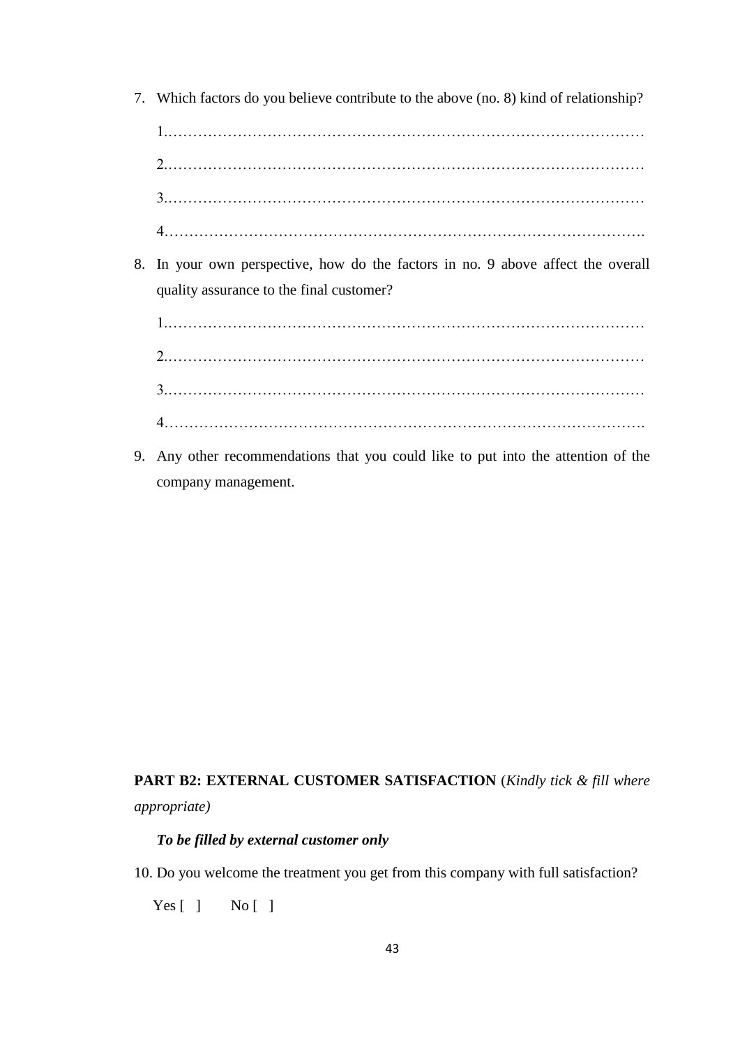7. Which factors do you believe contribute to the above (no. 8) kind of relationship?

1.…………………………………………………………………………………… 2.…………………………………………………………………………………… 3.…………………………………………………………………………………… 4…………………………………………………………………………………….

8. In your own perspective, how do the factors in no. 9 above affect the overall quality assurance to the final customer?

1.…………………………………………………………………………………… 2.…………………………………………………………………………………… 3.…………………………………………………………………………………… 4…………………………………………………………………………………….

9. Any other recommendations that you could like to put into the attention of the company management.

**PART B2: EXTERNAL CUSTOMER SATISFACTION** (*Kindly tick & fill where appropriate)*

## *To be filled by external customer only*

10. Do you welcome the treatment you get from this company with full satisfaction?

 $Yes [ ] No [ ]$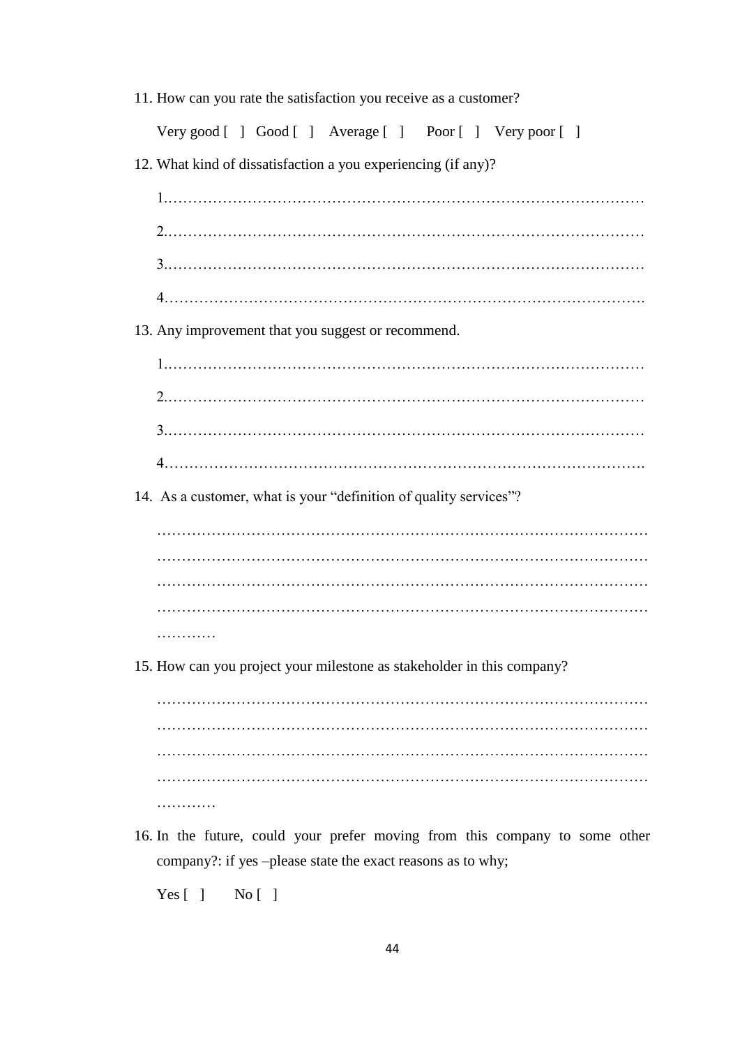| 11. How can you rate the satisfaction you receive as a customer?            |  |  |
|-----------------------------------------------------------------------------|--|--|
| Very good [] Good [] Average [] Poor [] Very poor []                        |  |  |
| 12. What kind of dissatisfaction a you experiencing (if any)?               |  |  |
|                                                                             |  |  |
|                                                                             |  |  |
|                                                                             |  |  |
|                                                                             |  |  |
| 13. Any improvement that you suggest or recommend.                          |  |  |
|                                                                             |  |  |
|                                                                             |  |  |
|                                                                             |  |  |
|                                                                             |  |  |
| 14. As a customer, what is your "definition of quality services"?           |  |  |
|                                                                             |  |  |
|                                                                             |  |  |
|                                                                             |  |  |
| .                                                                           |  |  |
| 15. How can you project your milestone as stakeholder in this company?      |  |  |
|                                                                             |  |  |
|                                                                             |  |  |
|                                                                             |  |  |
|                                                                             |  |  |
| 16. In the future, could your prefer moving from this company to some other |  |  |

company?: if yes –please state the exact reasons as to why;

Yes [ ] No [ ]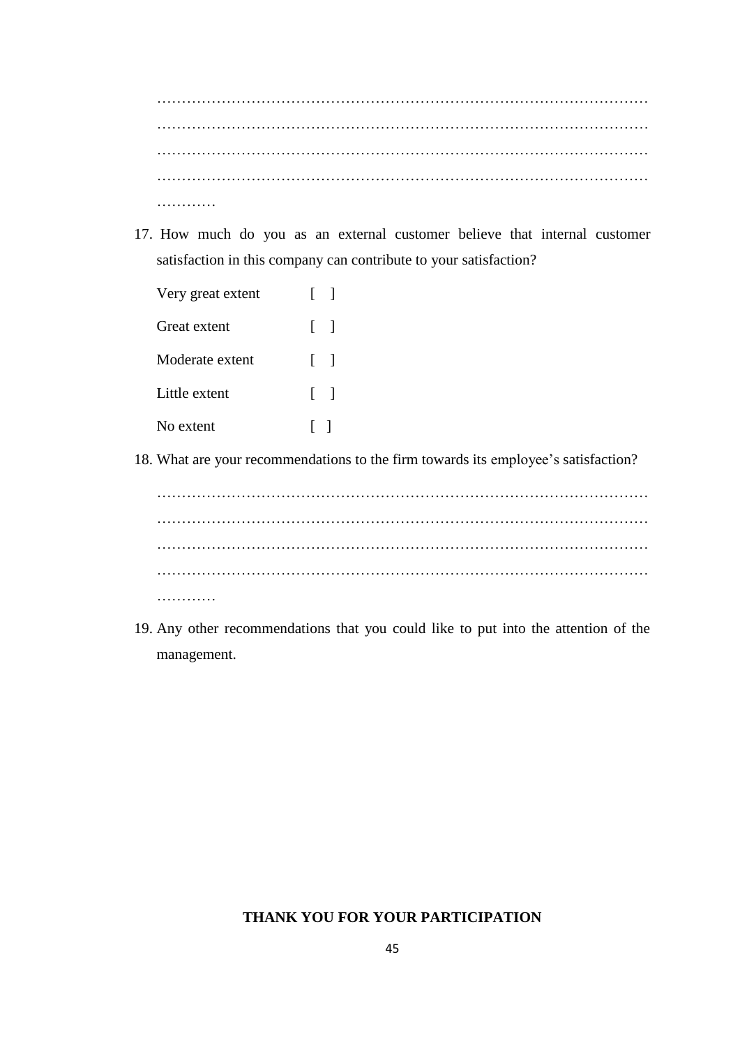……………………………………………………………………………………… ……………………………………………………………………………………… ……………………………………………………………………………………… …………

17. How much do you as an external customer believe that internal customer satisfaction in this company can contribute to your satisfaction?

| Very great extent | $\mathbf{I}$ |
|-------------------|--------------|
| Great extent      | $\Box$       |
| Moderate extent   | $\lceil$ 1   |
| Little extent     | $\lceil$ 1   |
| No extent         | $\Box$       |

18. What are your recommendations to the firm towards its employee's satisfaction?

……………………………………………………………………………………… ……………………………………………………………………………………… ……………………………………………………………………………………… ……………

19. Any other recommendations that you could like to put into the attention of the management.

## **THANK YOU FOR YOUR PARTICIPATION**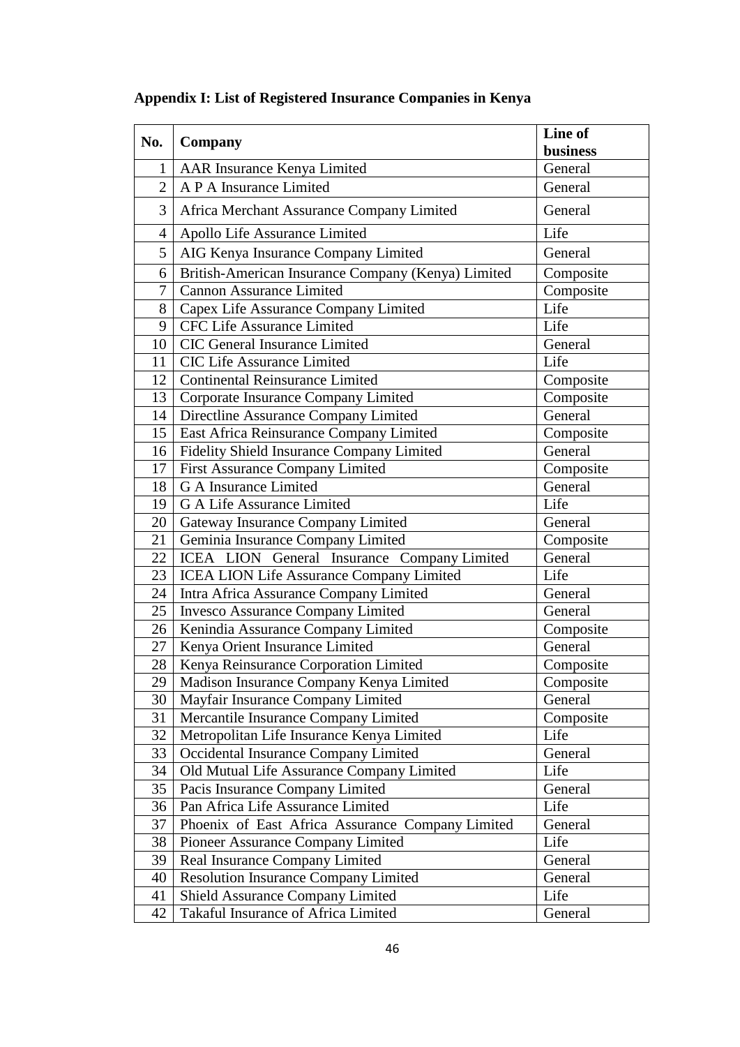|                |                                                    | Line of         |
|----------------|----------------------------------------------------|-----------------|
| No.            | Company                                            | <b>business</b> |
| 1              | AAR Insurance Kenya Limited                        | General         |
| $\overline{2}$ | A P A Insurance Limited                            | General         |
| 3              | Africa Merchant Assurance Company Limited          | General         |
| 4              | Apollo Life Assurance Limited                      | Life            |
| 5              | AIG Kenya Insurance Company Limited                | General         |
| 6              | British-American Insurance Company (Kenya) Limited | Composite       |
| 7              | <b>Cannon Assurance Limited</b>                    | Composite       |
| 8              | Capex Life Assurance Company Limited               | Life            |
| 9              | CFC Life Assurance Limited                         | Life            |
| 10             | CIC General Insurance Limited                      | General         |
| 11             | <b>CIC Life Assurance Limited</b>                  | Life            |
| 12             | <b>Continental Reinsurance Limited</b>             | Composite       |
| 13             | Corporate Insurance Company Limited                | Composite       |
| 14             | Directline Assurance Company Limited               | General         |
| 15             | East Africa Reinsurance Company Limited            | Composite       |
| 16             | <b>Fidelity Shield Insurance Company Limited</b>   | General         |
| 17             | First Assurance Company Limited                    | Composite       |
| 18             | <b>G A Insurance Limited</b>                       | General         |
| 19             | <b>G A Life Assurance Limited</b>                  | Life            |
| 20             | Gateway Insurance Company Limited                  | General         |
| 21             | Geminia Insurance Company Limited                  | Composite       |
| 22             | ICEA LION General Insurance Company Limited        | General         |
| 23             | <b>ICEA LION Life Assurance Company Limited</b>    | Life            |
| 24             | Intra Africa Assurance Company Limited             | General         |
| 25             | <b>Invesco Assurance Company Limited</b>           | General         |
| 26             | Kenindia Assurance Company Limited                 | Composite       |
| 27             | Kenya Orient Insurance Limited                     | General         |
| 28             | Kenya Reinsurance Corporation Limited              | Composite       |
| 29             | Madison Insurance Company Kenya Limited            | Composite       |
| 30             | Mayfair Insurance Company Limited                  | General         |
| 31             | Mercantile Insurance Company Limited               | Composite       |
| 32             | Metropolitan Life Insurance Kenya Limited          | Life            |
| 33             | Occidental Insurance Company Limited               | General         |
| 34             | Old Mutual Life Assurance Company Limited          | Life            |
| 35             | Pacis Insurance Company Limited                    | General         |
| 36             | Pan Africa Life Assurance Limited                  | Life            |
| 37             | Phoenix of East Africa Assurance Company Limited   | General         |
| 38             | Pioneer Assurance Company Limited                  | Life            |
| 39             | Real Insurance Company Limited                     | General         |
| 40             | <b>Resolution Insurance Company Limited</b>        | General         |
| 41             | <b>Shield Assurance Company Limited</b>            | Life            |
| 42             | Takaful Insurance of Africa Limited                | General         |

# **Appendix I: List of Registered Insurance Companies in Kenya**